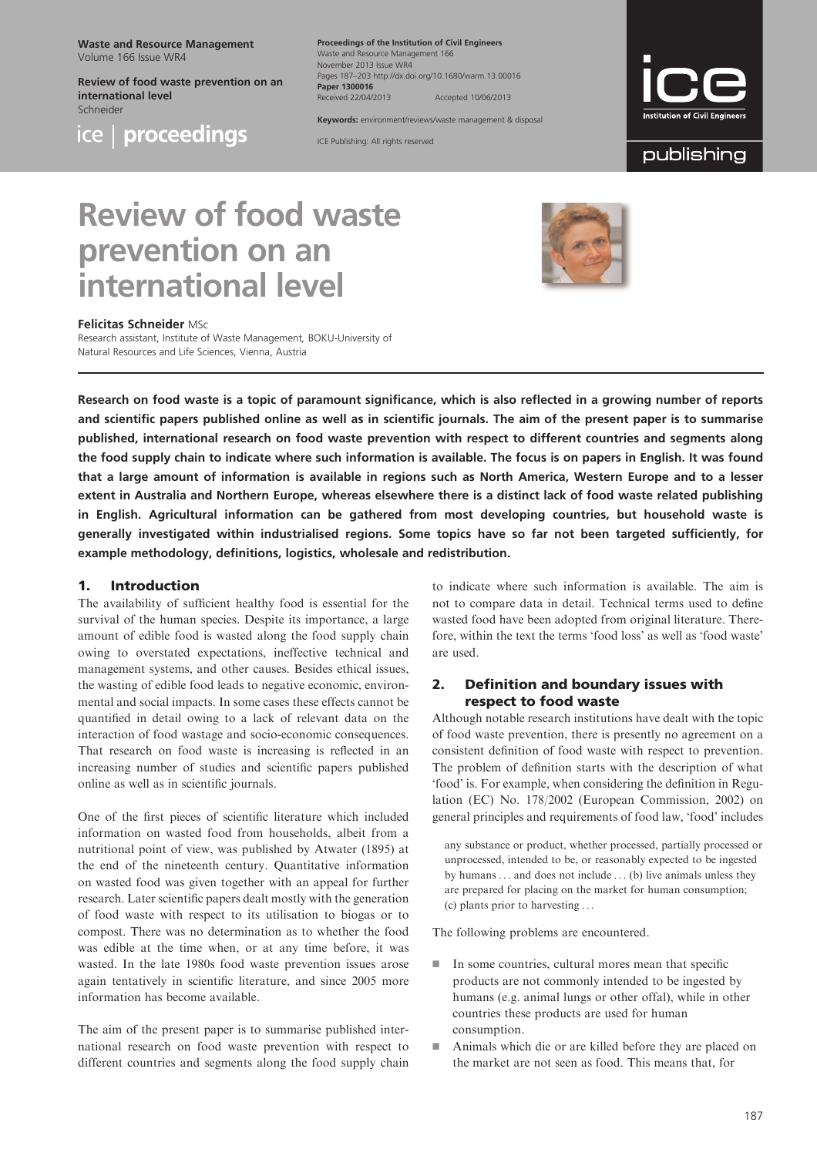Waste and Resource Management Volume 166 Issue WR4

Review of food waste prevention on an international level Schneider



ice | proceedings

Proceedings of the Institution of Civil Engineers Waste and Resource Manager November 2013 Issue WR4 Pages 187–203 http://dx.doi.org/10.1680/warm.13.00016 Paper 1300016 Received 22/04/2013 Accepted 10/06/2013

Keywords: environment/reviews/waste management & disposal

ICE Publishing: All rights reserved



publishing

# Review of food waste prevention on an international level



#### Felicitas Schneider MSc

Research assistant, Institute of Waste Management, BOKU-University of Natural Resources and Life Sciences, Vienna, Austria

Research on food waste is a topic of paramount significance, which is also reflected in a growing number of reports and scientific papers published online as well as in scientific journals. The aim of the present paper is to summarise published, international research on food waste prevention with respect to different countries and segments along the food supply chain to indicate where such information is available. The focus is on papers in English. It was found that a large amount of information is available in regions such as North America, Western Europe and to a lesser extent in Australia and Northern Europe, whereas elsewhere there is a distinct lack of food waste related publishing in English. Agricultural information can be gathered from most developing countries, but household waste is generally investigated within industrialised regions. Some topics have so far not been targeted sufficiently, for example methodology, definitions, logistics, wholesale and redistribution.

## 1. Introduction

The availability of sufficient healthy food is essential for the survival of the human species. Despite its importance, a large amount of edible food is wasted along the food supply chain owing to overstated expectations, ineffective technical and management systems, and other causes. Besides ethical issues, the wasting of edible food leads to negative economic, environmental and social impacts. In some cases these effects cannot be quantified in detail owing to a lack of relevant data on the interaction of food wastage and socio-economic consequences. That research on food waste is increasing is reflected in an increasing number of studies and scientific papers published online as well as in scientific journals.

One of the first pieces of scientific literature which included information on wasted food from households, albeit from a nutritional point of view, was published by [Atwater \(1895\)](#page-12-0) at the end of the nineteenth century. Quantitative information on wasted food was given together with an appeal for further research. Later scientific papers dealt mostly with the generation of food waste with respect to its utilisation to biogas or to compost. There was no determination as to whether the food was edible at the time when, or at any time before, it was wasted. In the late 1980s food waste prevention issues arose again tentatively in scientific literature, and since 2005 more information has become available.

The aim of the present paper is to summarise published international research on food waste prevention with respect to different countries and segments along the food supply chain to indicate where such information is available. The aim is not to compare data in detail. Technical terms used to define wasted food have been adopted from original literature. Therefore, within the text the terms 'food loss' as well as 'food waste' are used.

# 2. Definition and boundary issues with respect to food waste

Although notable research institutions have dealt with the topic of food waste prevention, there is presently no agreement on a consistent definition of food waste with respect to prevention. The problem of definition starts with the description of what 'food' is. For example, when considering the definition in Regulation (EC) No. 178/2002 ([European Commission, 2002\)](#page-13-0) on general principles and requirements of food law, 'food' includes

any substance or product, whether processed, partially processed or unprocessed, intended to be, or reasonably expected to be ingested by humans ... and does not include ... (b) live animals unless they are prepared for placing on the market for human consumption; (c) plants prior to harvesting ...

The following problems are encountered.

- $\blacksquare$  In some countries, cultural mores mean that specific products are not commonly intended to be ingested by humans (e.g. animal lungs or other offal), while in other countries these products are used for human consumption.
- $\blacksquare$  Animals which die or are killed before they are placed on the market are not seen as food. This means that, for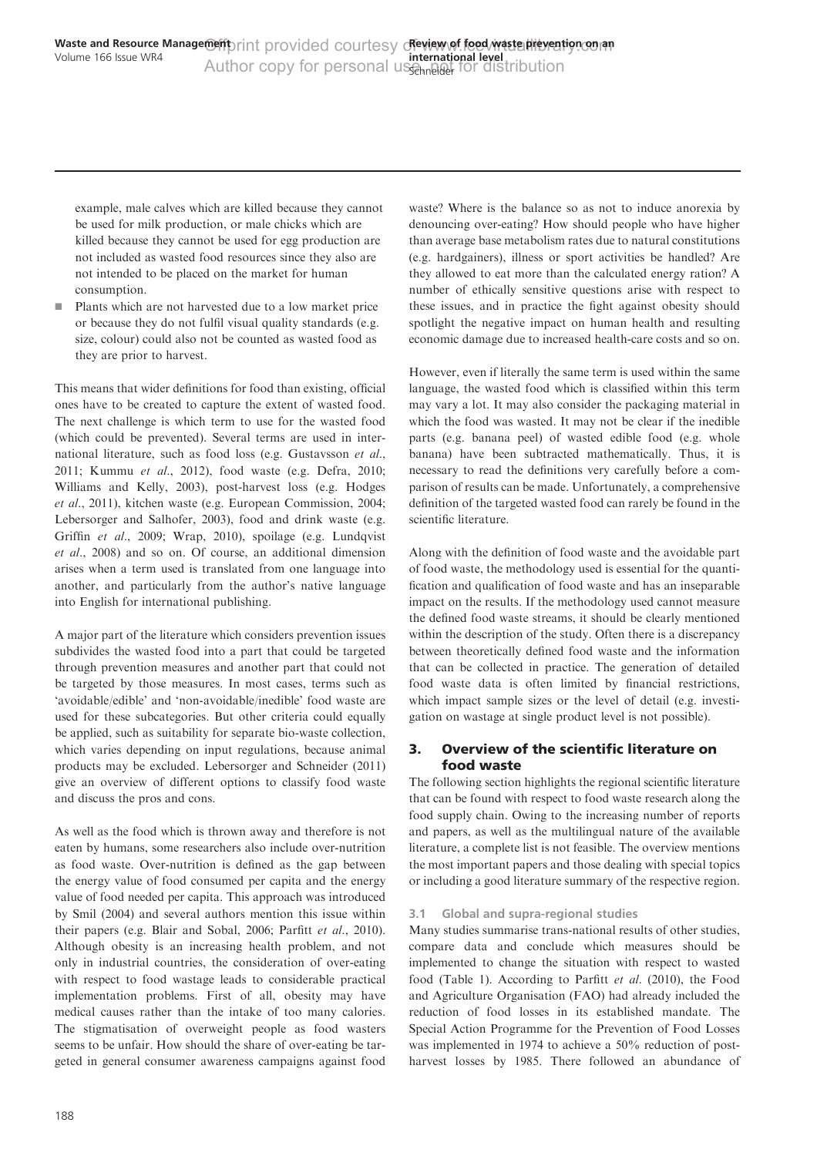example, male calves which are killed because they cannot be used for milk production, or male chicks which are killed because they cannot be used for egg production are not included as wasted food resources since they also are not intended to be placed on the market for human consumption.

**Plants which are not harvested due to a low market price** or because they do not fulfil visual quality standards (e.g. size, colour) could also not be counted as wasted food as they are prior to harvest.

This means that wider definitions for food than existing, official ones have to be created to capture the extent of wasted food. The next challenge is which term to use for the wasted food (which could be prevented). Several terms are used in international literature, such as food loss (e.g. [Gustavsson](#page-14-0) et al., [2011; Kummu](#page-14-0) et al., 2012), food waste (e.g. [Defra, 2010;](#page-13-0) [Williams and Kelly, 2003](#page-16-0)), post-harvest loss (e.g. [Hodges](#page-14-0) et al[., 2011\)](#page-14-0), kitchen waste (e.g. [European Commission, 2004;](#page-13-0) [Lebersorger and Salhofer, 2003\)](#page-14-0), food and drink waste (e.g. Griffin et al[., 2009](#page-13-0); [Wrap, 2010](#page-16-0)), spoilage (e.g. [Lundqvist](#page-14-0) et al[., 2008\)](#page-14-0) and so on. Of course, an additional dimension arises when a term used is translated from one language into another, and particularly from the author's native language into English for international publishing.

A major part of the literature which considers prevention issues subdivides the wasted food into a part that could be targeted through prevention measures and another part that could not be targeted by those measures. In most cases, terms such as 'avoidable/edible' and 'non-avoidable/inedible' food waste are used for these subcategories. But other criteria could equally be applied, such as suitability for separate bio-waste collection, which varies depending on input regulations, because animal products may be excluded. [Lebersorger and Schneider \(2011\)](#page-14-0) give an overview of different options to classify food waste and discuss the pros and cons.

As well as the food which is thrown away and therefore is not eaten by humans, some researchers also include over-nutrition as food waste. Over-nutrition is defined as the gap between the energy value of food consumed per capita and the energy value of food needed per capita. This approach was introduced by [Smil \(2004\)](#page-15-0) and several authors mention this issue within their papers (e.g. [Blair and Sobal, 2006](#page-13-0); Parfitt et al[., 2010\)](#page-15-0). Although obesity is an increasing health problem, and not only in industrial countries, the consideration of over-eating with respect to food wastage leads to considerable practical implementation problems. First of all, obesity may have medical causes rather than the intake of too many calories. The stigmatisation of overweight people as food wasters seems to be unfair. How should the share of over-eating be targeted in general consumer awareness campaigns against food waste? Where is the balance so as not to induce anorexia by denouncing over-eating? How should people who have higher than average base metabolism rates due to natural constitutions (e.g. hardgainers), illness or sport activities be handled? Are they allowed to eat more than the calculated energy ration? A number of ethically sensitive questions arise with respect to these issues, and in practice the fight against obesity should spotlight the negative impact on human health and resulting economic damage due to increased health-care costs and so on.

However, even if literally the same term is used within the same language, the wasted food which is classified within this term may vary a lot. It may also consider the packaging material in which the food was wasted. It may not be clear if the inedible parts (e.g. banana peel) of wasted edible food (e.g. whole banana) have been subtracted mathematically. Thus, it is necessary to read the definitions very carefully before a comparison of results can be made. Unfortunately, a comprehensive definition of the targeted wasted food can rarely be found in the scientific literature.

Along with the definition of food waste and the avoidable part of food waste, the methodology used is essential for the quantification and qualification of food waste and has an inseparable impact on the results. If the methodology used cannot measure the defined food waste streams, it should be clearly mentioned within the description of the study. Often there is a discrepancy between theoretically defined food waste and the information that can be collected in practice. The generation of detailed food waste data is often limited by financial restrictions, which impact sample sizes or the level of detail (e.g. investigation on wastage at single product level is not possible).

# 3. Overview of the scientific literature on food waste

The following section highlights the regional scientific literature that can be found with respect to food waste research along the food supply chain. Owing to the increasing number of reports and papers, as well as the multilingual nature of the available literature, a complete list is not feasible. The overview mentions the most important papers and those dealing with special topics or including a good literature summary of the respective region.

## 3.1 Global and supra-regional studies

Many studies summarise trans-national results of other studies, compare data and conclude which measures should be implemented to change the situation with respect to wasted food ([Table 1](#page-2-0)). According to Parfitt et al[. \(2010\),](#page-15-0) the Food and Agriculture Organisation (FAO) had already included the reduction of food losses in its established mandate. The Special Action Programme for the Prevention of Food Losses was implemented in 1974 to achieve a 50% reduction of postharvest losses by 1985. There followed an abundance of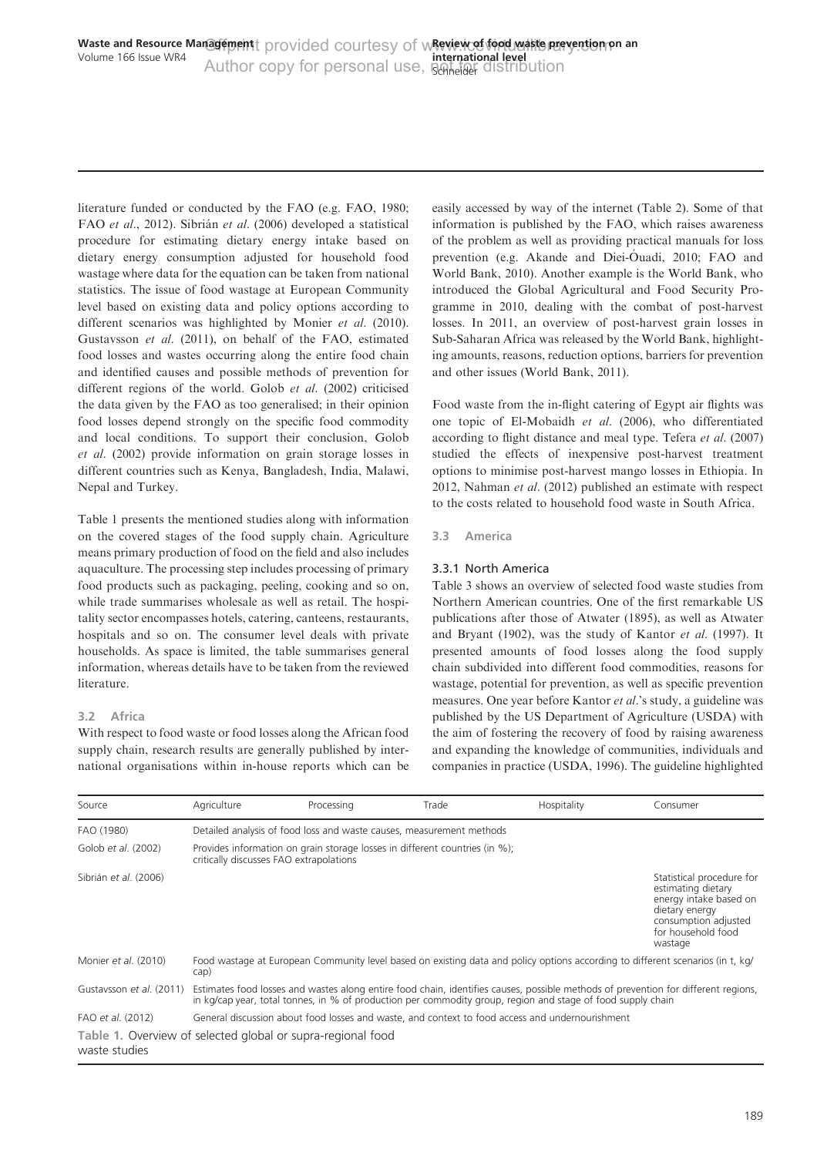<span id="page-2-0"></span>literature funded or conducted by the FAO (e.g. [FAO, 1980](#page-13-0); FAO et al[., 2012\)](#page-13-0). Sibrián et al[. \(2006\)](#page-15-0) developed a statistical procedure for estimating dietary energy intake based on dietary energy consumption adjusted for household food wastage where data for the equation can be taken from national statistics. The issue of food wastage at European Community level based on existing data and policy options according to different scenarios was highlighted by Monier et al[. \(2010\)](#page-15-0). [Gustavsson](#page-14-0) et al. (2011), on behalf of the FAO, estimated food losses and wastes occurring along the entire food chain and identified causes and possible methods of prevention for different regions of the world. Golob et al[. \(2002\)](#page-13-0) criticised the data given by the FAO as too generalised; in their opinion food losses depend strongly on the specific food commodity and local conditions. To support their conclusion, [Golob](#page-13-0) et al[. \(2002\)](#page-13-0) provide information on grain storage losses in different countries such as Kenya, Bangladesh, India, Malawi, Nepal and Turkey.

Table 1 presents the mentioned studies along with information on the covered stages of the food supply chain. Agriculture means primary production of food on the field and also includes aquaculture. The processing step includes processing of primary food products such as packaging, peeling, cooking and so on, while trade summarises wholesale as well as retail. The hospitality sector encompasses hotels, catering, canteens, restaurants, hospitals and so on. The consumer level deals with private households. As space is limited, the table summarises general information, whereas details have to be taken from the reviewed literature.

# 3.2 Africa

With respect to food waste or food losses along the African food supply chain, research results are generally published by international organisations within in-house reports which can be easily accessed by way of the internet [\(Table 2\)](#page-3-0). Some of that information is published by the FAO, which raises awareness of the problem as well as providing practical manuals for loss prevention (e.g. Akande and Diei-Ouadi, 2010; [FAO and](#page-13-0) [World Bank, 2010\)](#page-13-0). Another example is the World Bank, who introduced the Global Agricultural and Food Security Programme in 2010, dealing with the combat of post-harvest losses. In 2011, an overview of post-harvest grain losses in Sub-Saharan Africa was released by the World Bank, highlighting amounts, reasons, reduction options, barriers for prevention and other issues [\(World Bank, 2011\)](#page-16-0).

Food waste from the in-flight catering of Egypt air flights was one topic of [El-Mobaidh](#page-13-0) et al. (2006), who differentiated according to flight distance and meal type. Tefera et al[. \(2007\)](#page-15-0) studied the effects of inexpensive post-harvest treatment options to minimise post-harvest mango losses in Ethiopia. In 2012, [Nahman](#page-15-0) et al. (2012) published an estimate with respect to the costs related to household food waste in South Africa.

3.3 America

## 3.3.1 North America

[Table 3](#page-4-0) shows an overview of selected food waste studies from Northern American countries. One of the first remarkable US publications after those of [Atwater \(1895\),](#page-12-0) as well as [Atwater](#page-12-0) [and Bryant \(1902\)](#page-12-0), was the study of Kantor et al[. \(1997\)](#page-14-0). It presented amounts of food losses along the food supply chain subdivided into different food commodities, reasons for wastage, potential for prevention, as well as specific prevention measures. One year before Kantor et al.'s study, a guideline was published by the US Department of Agriculture (USDA) with the aim of fostering the recovery of food by raising awareness and expanding the knowledge of communities, individuals and companies in practice [\(USDA, 1996\)](#page-16-0). The guideline highlighted

| Source                   | Agriculture                                                                                                                            | Processing                                                                                                             | Trade                                                                                                                                                                                                                                             | Hospitality | Consumer                                                                                                                                             |  |  |
|--------------------------|----------------------------------------------------------------------------------------------------------------------------------------|------------------------------------------------------------------------------------------------------------------------|---------------------------------------------------------------------------------------------------------------------------------------------------------------------------------------------------------------------------------------------------|-------------|------------------------------------------------------------------------------------------------------------------------------------------------------|--|--|
| FAO (1980)               |                                                                                                                                        | Detailed analysis of food loss and waste causes, measurement methods                                                   |                                                                                                                                                                                                                                                   |             |                                                                                                                                                      |  |  |
| Golob et al. (2002)      |                                                                                                                                        | Provides information on grain storage losses in different countries (in %);<br>critically discusses FAO extrapolations |                                                                                                                                                                                                                                                   |             |                                                                                                                                                      |  |  |
| Sibrián et al. (2006)    |                                                                                                                                        |                                                                                                                        |                                                                                                                                                                                                                                                   |             | Statistical procedure for<br>estimating dietary<br>energy intake based on<br>dietary energy<br>consumption adjusted<br>for household food<br>wastage |  |  |
| Monier et al. (2010)     | Food wastage at European Community level based on existing data and policy options according to different scenarios (in t, kg/<br>cap) |                                                                                                                        |                                                                                                                                                                                                                                                   |             |                                                                                                                                                      |  |  |
| Gustavsson et al. (2011) |                                                                                                                                        |                                                                                                                        | Estimates food losses and wastes along entire food chain, identifies causes, possible methods of prevention for different regions,<br>in kg/cap year, total tonnes, in % of production per commodity group, region and stage of food supply chain |             |                                                                                                                                                      |  |  |
| FAO et al. (2012)        |                                                                                                                                        |                                                                                                                        | General discussion about food losses and waste, and context to food access and undernourishment                                                                                                                                                   |             |                                                                                                                                                      |  |  |
| waste studies            | Table 1. Overview of selected global or supra-regional food                                                                            |                                                                                                                        |                                                                                                                                                                                                                                                   |             |                                                                                                                                                      |  |  |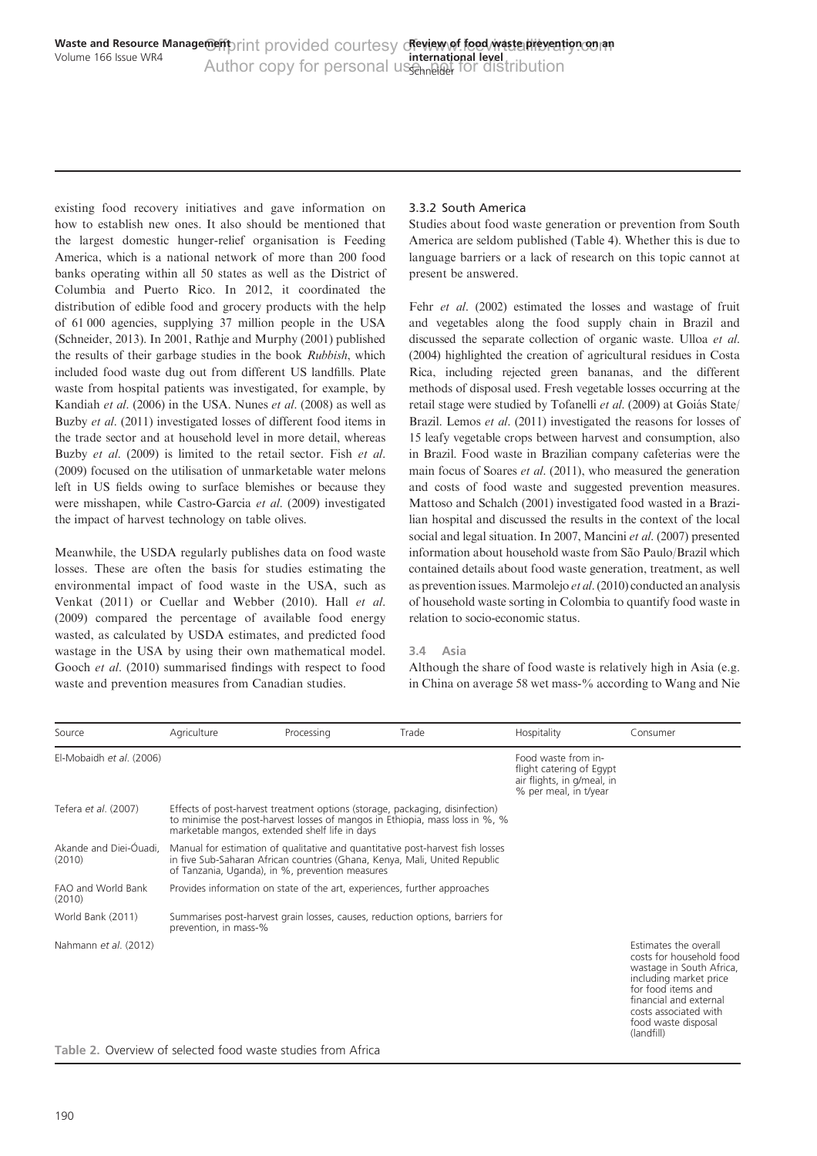<span id="page-3-0"></span>existing food recovery initiatives and gave information on how to establish new ones. It also should be mentioned that the largest domestic hunger-relief organisation is Feeding America, which is a national network of more than 200 food banks operating within all 50 states as well as the District of Columbia and Puerto Rico. In 2012, it coordinated the distribution of edible food and grocery products with the help of 61 000 agencies, supplying 37 million people in the USA ([Schneider, 2013\)](#page-15-0). In 2001, [Rathje and Murphy \(2001\)](#page-15-0) published the results of their garbage studies in the book Rubbish, which included food waste dug out from different US landfills. Plate waste from hospital patients was investigated, for example, by [Kandiah](#page-14-0) et al. (2006) in the USA. Nunes et al[. \(2008\)](#page-15-0) as well as Buzby et al[. \(2011\)](#page-13-0) investigated losses of different food items in the trade sector and at household level in more detail, whereas Buzby et al[. \(2009\)](#page-13-0) is limited to the retail sector. Fish [et al](#page-13-0). [\(2009\)](#page-13-0) focused on the utilisation of unmarketable water melons left in US fields owing to surface blemishes or because they were misshapen, while [Castro-Garcia](#page-13-0) et al. (2009) investigated the impact of harvest technology on table olives.

Meanwhile, the USDA regularly publishes data on food waste losses. These are often the basis for studies estimating the environmental impact of food waste in the USA, such as [Venkat \(2011\)](#page-16-0) or [Cuellar and Webber \(2010\)](#page-13-0). Hall [et al](#page-14-0). [\(2009\)](#page-14-0) compared the percentage of available food energy wasted, as calculated by USDA estimates, and predicted food wastage in the USA by using their own mathematical model. Gooch et al[. \(2010\)](#page-13-0) summarised findings with respect to food waste and prevention measures from Canadian studies.

## 3.3.2 South America

Studies about food waste generation or prevention from South America are seldom published ([Table 4](#page-5-0)). Whether this is due to language barriers or a lack of research on this topic cannot at present be answered.

Fehr et al[. \(2002\)](#page-13-0) estimated the losses and wastage of fruit and vegetables along the food supply chain in Brazil and discussed the separate collection of organic waste. [Ulloa](#page-15-0) et al. [\(2004\)](#page-15-0) highlighted the creation of agricultural residues in Costa Rica, including rejected green bananas, and the different methods of disposal used. Fresh vegetable losses occurring at the retail stage were studied by [Tofanelli](#page-15-0) et al. (2009) at Goiás State/ Brazil. Lemos et al[. \(2011\)](#page-14-0) investigated the reasons for losses of 15 leafy vegetable crops between harvest and consumption, also in Brazil. Food waste in Brazilian company cafeterias were the main focus of Soares *et al.* (2011), who measured the generation and costs of food waste and suggested prevention measures. [Mattoso and Schalch \(2001\)](#page-15-0) investigated food wasted in a Brazilian hospital and discussed the results in the context of the local social and legal situation. In 2007, [Mancini](#page-14-0) et al. (2007) presented information about household waste from São Paulo/Brazil which contained details about food waste generation, treatment, as well as prevention issues.[Marmolejo](#page-14-0) et al. (2010) conducted an analysis of household waste sorting in Colombia to quantify food waste in relation to socio-economic status.

#### 3.4 Asia

Although the share of food waste is relatively high in Asia (e.g. in China on average 58 wet mass-% according to Wang and Nie

| Source                           | Agriculture           | Processing                                                                                                                                                                                                      | Trade                                                                                                                                                        | Hospitality                                                                                            | Consumer                                                                                                                                                                                                              |
|----------------------------------|-----------------------|-----------------------------------------------------------------------------------------------------------------------------------------------------------------------------------------------------------------|--------------------------------------------------------------------------------------------------------------------------------------------------------------|--------------------------------------------------------------------------------------------------------|-----------------------------------------------------------------------------------------------------------------------------------------------------------------------------------------------------------------------|
| El-Mobaidh et al. (2006)         |                       |                                                                                                                                                                                                                 |                                                                                                                                                              | Food waste from in-<br>flight catering of Egypt<br>air flights, in g/meal, in<br>% per meal, in t/year |                                                                                                                                                                                                                       |
| Tefera et al. (2007)             |                       | marketable mangos, extended shelf life in days                                                                                                                                                                  | Effects of post-harvest treatment options (storage, packaging, disinfection)<br>to minimise the post-harvest losses of mangos in Ethiopia, mass loss in %, % |                                                                                                        |                                                                                                                                                                                                                       |
| Akande and Diei-Óuadi,<br>(2010) |                       | Manual for estimation of qualitative and quantitative post-harvest fish losses<br>in five Sub-Saharan African countries (Ghana, Kenya, Mali, United Republic<br>of Tanzania, Uganda), in %, prevention measures |                                                                                                                                                              |                                                                                                        |                                                                                                                                                                                                                       |
| FAO and World Bank<br>(2010)     |                       |                                                                                                                                                                                                                 | Provides information on state of the art, experiences, further approaches                                                                                    |                                                                                                        |                                                                                                                                                                                                                       |
| World Bank (2011)                | prevention, in mass-% |                                                                                                                                                                                                                 | Summarises post-harvest grain losses, causes, reduction options, barriers for                                                                                |                                                                                                        |                                                                                                                                                                                                                       |
| Nahmann et al. (2012)            |                       |                                                                                                                                                                                                                 |                                                                                                                                                              |                                                                                                        | Estimates the overall<br>costs for household food<br>wastage in South Africa,<br>including market price<br>for food items and<br>financial and external<br>costs associated with<br>food waste disposal<br>(landfill) |

Table 2. Overview of selected food waste studies from Africa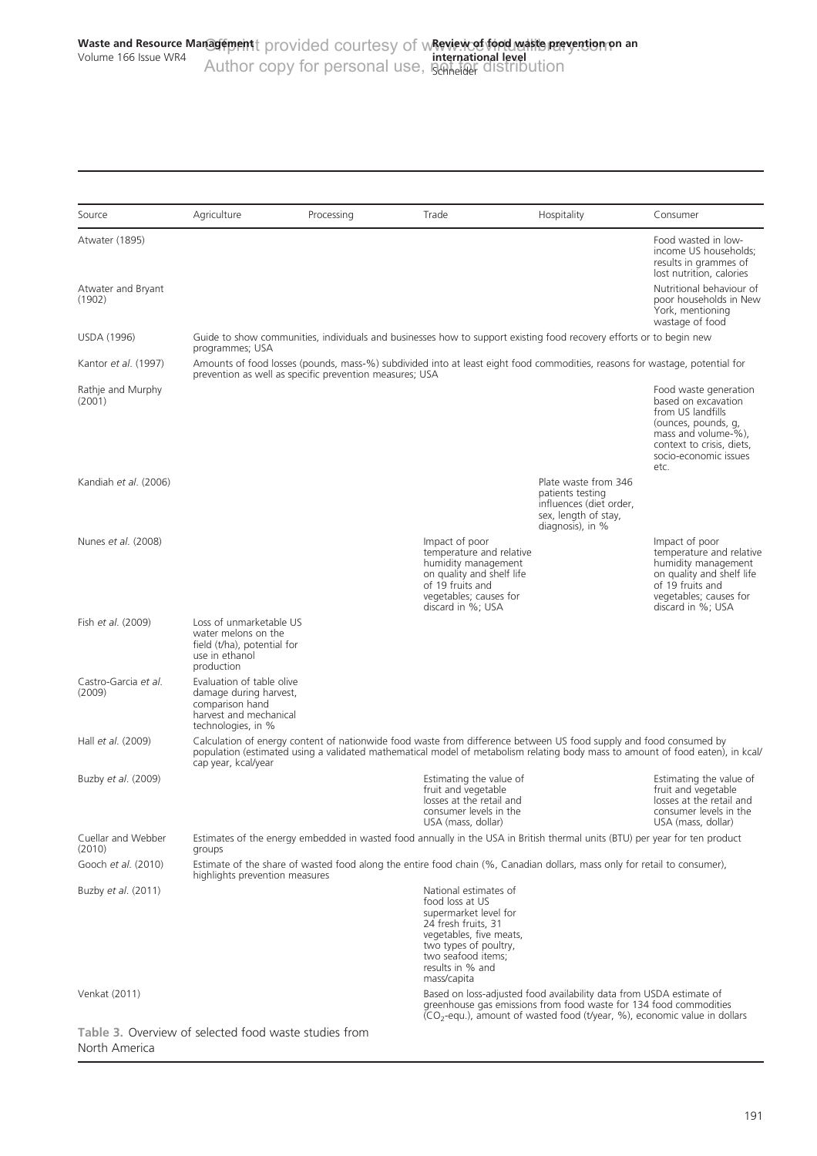<span id="page-4-0"></span>

| Source                                                                 | Agriculture                                                                                                            | Processing                                              | Trade                                                                                                                                                                                                 | Hospitality                                                                                                                                                                                                             | Consumer                                                                                                                                                                      |
|------------------------------------------------------------------------|------------------------------------------------------------------------------------------------------------------------|---------------------------------------------------------|-------------------------------------------------------------------------------------------------------------------------------------------------------------------------------------------------------|-------------------------------------------------------------------------------------------------------------------------------------------------------------------------------------------------------------------------|-------------------------------------------------------------------------------------------------------------------------------------------------------------------------------|
| Atwater (1895)                                                         |                                                                                                                        |                                                         |                                                                                                                                                                                                       |                                                                                                                                                                                                                         | Food wasted in low-<br>income US households;<br>results in grammes of<br>lost nutrition, calories                                                                             |
| Atwater and Bryant<br>(1902)                                           |                                                                                                                        |                                                         |                                                                                                                                                                                                       |                                                                                                                                                                                                                         | Nutritional behaviour of<br>poor households in New<br>York, mentioning<br>wastage of food                                                                                     |
| <b>USDA (1996)</b>                                                     | programmes; USA                                                                                                        |                                                         |                                                                                                                                                                                                       | Guide to show communities, individuals and businesses how to support existing food recovery efforts or to begin new                                                                                                     |                                                                                                                                                                               |
| Kantor et al. (1997)                                                   |                                                                                                                        | prevention as well as specific prevention measures; USA |                                                                                                                                                                                                       | Amounts of food losses (pounds, mass-%) subdivided into at least eight food commodities, reasons for wastage, potential for                                                                                             |                                                                                                                                                                               |
| Rathje and Murphy<br>(2001)                                            |                                                                                                                        |                                                         |                                                                                                                                                                                                       |                                                                                                                                                                                                                         | Food waste generation<br>based on excavation<br>from US landfills<br>(ounces, pounds, g,<br>mass and volume-%),<br>context to crisis, diets,<br>socio-economic issues<br>etc. |
| Kandiah et al. (2006)                                                  |                                                                                                                        |                                                         |                                                                                                                                                                                                       | Plate waste from 346<br>patients testing<br>influences (diet order,<br>sex, length of stay,<br>diagnosis), in %                                                                                                         |                                                                                                                                                                               |
| Nunes et al. (2008)                                                    |                                                                                                                        |                                                         | Impact of poor<br>temperature and relative<br>humidity management<br>on quality and shelf life<br>of 19 fruits and<br>vegetables; causes for<br>discard in %; USA                                     |                                                                                                                                                                                                                         | Impact of poor<br>temperature and relative<br>humidity management<br>on quality and shelf life<br>of 19 fruits and<br>vegetables; causes for<br>discard in %; USA             |
| Fish et al. (2009)                                                     | Loss of unmarketable US<br>water melons on the<br>field (t/ha), potential for<br>use in ethanol<br>production          |                                                         |                                                                                                                                                                                                       |                                                                                                                                                                                                                         |                                                                                                                                                                               |
| Castro-Garcia et al.<br>(2009)                                         | Evaluation of table olive<br>damage during harvest,<br>comparison hand<br>harvest and mechanical<br>technologies, in % |                                                         |                                                                                                                                                                                                       |                                                                                                                                                                                                                         |                                                                                                                                                                               |
| Hall et al. (2009)                                                     | cap year, kcal/year                                                                                                    |                                                         |                                                                                                                                                                                                       | Calculation of energy content of nationwide food waste from difference between US food supply and food consumed by                                                                                                      | population (estimated using a validated mathematical model of metabolism relating body mass to amount of food eaten), in kcal/                                                |
| Buzby et al. (2009)                                                    |                                                                                                                        |                                                         | Estimating the value of<br>fruit and vegetable<br>losses at the retail and<br>consumer levels in the<br>USA (mass, dollar)                                                                            |                                                                                                                                                                                                                         | Estimating the value of<br>fruit and vegetable<br>losses at the retail and<br>consumer levels in the<br>USA (mass. dollar)                                                    |
| Cuellar and Webber<br>(2010)                                           | groups                                                                                                                 |                                                         |                                                                                                                                                                                                       | Estimates of the energy embedded in wasted food annually in the USA in British thermal units (BTU) per year for ten product                                                                                             |                                                                                                                                                                               |
| Gooch et al. (2010)                                                    | highlights prevention measures                                                                                         |                                                         |                                                                                                                                                                                                       | Estimate of the share of wasted food along the entire food chain (%, Canadian dollars, mass only for retail to consumer),                                                                                               |                                                                                                                                                                               |
| Buzby <i>et al.</i> (2011)                                             |                                                                                                                        |                                                         | National estimates of<br>food loss at US<br>supermarket level for<br>24 fresh fruits, 31<br>vegetables, five meats,<br>two types of poultry,<br>two seafood items;<br>results in % and<br>mass/capita |                                                                                                                                                                                                                         |                                                                                                                                                                               |
| Venkat (2011)                                                          |                                                                                                                        |                                                         |                                                                                                                                                                                                       | Based on loss-adjusted food availability data from USDA estimate of<br>greenhouse gas emissions from food waste for 134 food commodities<br>$(CO2-equ.)$ , amount of wasted food (t/year, %), economic value in dollars |                                                                                                                                                                               |
| Table 3. Overview of selected food waste studies from<br>North America |                                                                                                                        |                                                         |                                                                                                                                                                                                       |                                                                                                                                                                                                                         |                                                                                                                                                                               |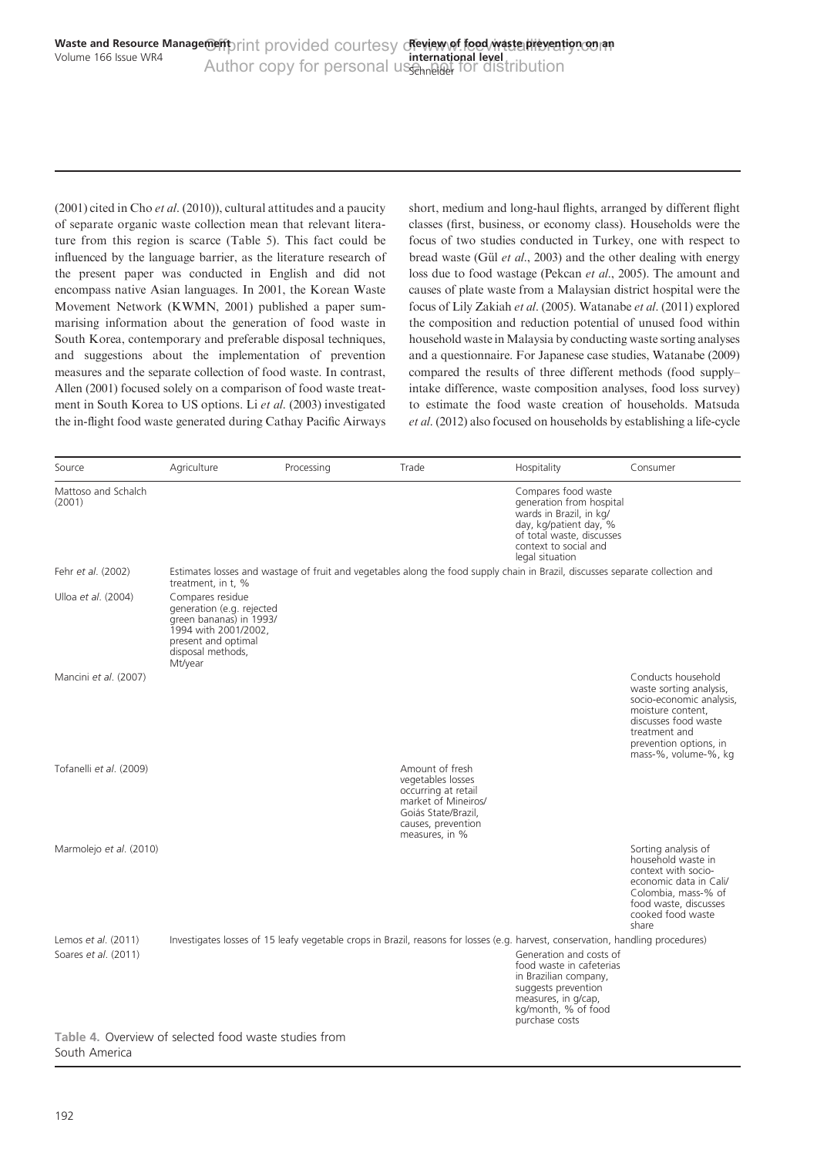<span id="page-5-0"></span> $(2001)$  cited in Cho *et al.*  $(2010)$ ), cultural attitudes and a paucity of separate organic waste collection mean that relevant literature from this region is scarce [\(Table 5](#page-6-0)). This fact could be influenced by the language barrier, as the literature research of the present paper was conducted in English and did not encompass native Asian languages. In 2001, the Korean Waste Movement Network [\(KWMN, 2001](#page-14-0)) published a paper summarising information about the generation of food waste in South Korea, contemporary and preferable disposal techniques, and suggestions about the implementation of prevention measures and the separate collection of food waste. In contrast, [Allen \(2001\)](#page-12-0) focused solely on a comparison of food waste treatment in South Korea to US options. Li et al[. \(2003\)](#page-14-0) investigated the in-flight food waste generated during Cathay Pacific Airways short, medium and long-haul flights, arranged by different flight classes (first, business, or economy class). Households were the focus of two studies conducted in Turkey, one with respect to bread waste (Gül et al[., 2003](#page-14-0)) and the other dealing with energy loss due to food wastage ([Pekcan](#page-15-0) et al., 2005). The amount and causes of plate waste from a Malaysian district hospital were the focus of [Lily Zakiah](#page-14-0) et al. (2005). [Watanabe](#page-16-0) et al. (2011) explored the composition and reduction potential of unused food within household waste in Malaysia by conducting waste sorting analyses and a questionnaire. For Japanese case studies, [Watanabe \(2009\)](#page-16-0) compared the results of three different methods (food supply– intake difference, waste composition analyses, food loss survey) to estimate the food waste creation of households. [Matsuda](#page-15-0) et al[. \(2012\)](#page-15-0) also focused on households by establishing a life-cycle

| Source                                      | Agriculture                                                                                                                                             | Processing | Trade                                                                                                                                             | Hospitality                                                                                                                                                                   | Consumer                                                                                                                                                                                  |
|---------------------------------------------|---------------------------------------------------------------------------------------------------------------------------------------------------------|------------|---------------------------------------------------------------------------------------------------------------------------------------------------|-------------------------------------------------------------------------------------------------------------------------------------------------------------------------------|-------------------------------------------------------------------------------------------------------------------------------------------------------------------------------------------|
| Mattoso and Schalch<br>(2001)               |                                                                                                                                                         |            |                                                                                                                                                   | Compares food waste<br>generation from hospital<br>wards in Brazil, in kg/<br>day, kg/patient day, %<br>of total waste, discusses<br>context to social and<br>legal situation |                                                                                                                                                                                           |
| Fehr et al. (2002)                          | treatment, in t, %                                                                                                                                      |            | Estimates losses and wastage of fruit and vegetables along the food supply chain in Brazil, discusses separate collection and                     |                                                                                                                                                                               |                                                                                                                                                                                           |
| Ulloa et al. (2004)                         | Compares residue<br>generation (e.g. rejected<br>green bananas) in 1993/<br>1994 with 2001/2002,<br>present and optimal<br>disposal methods,<br>Mt/year |            |                                                                                                                                                   |                                                                                                                                                                               |                                                                                                                                                                                           |
| Mancini et al. (2007)                       |                                                                                                                                                         |            |                                                                                                                                                   |                                                                                                                                                                               | Conducts household<br>waste sorting analysis,<br>socio-economic analysis,<br>moisture content,<br>discusses food waste<br>treatment and<br>prevention options, in<br>mass-%, volume-%, kg |
| Tofanelli et al. (2009)                     |                                                                                                                                                         |            | Amount of fresh<br>vegetables losses<br>occurring at retail<br>market of Mineiros/<br>Goiás State/Brazil.<br>causes, prevention<br>measures, in % |                                                                                                                                                                               |                                                                                                                                                                                           |
| Marmolejo et al. (2010)                     |                                                                                                                                                         |            |                                                                                                                                                   |                                                                                                                                                                               | Sorting analysis of<br>household waste in<br>context with socio-<br>economic data in Cali/<br>Colombia, mass-% of<br>food waste, discusses<br>cooked food waste<br>share                  |
| Lemos et al. (2011)<br>Soares et al. (2011) |                                                                                                                                                         |            | Investigates losses of 15 leafy vegetable crops in Brazil, reasons for losses (e.g. harvest, conservation, handling procedures)                   | Generation and costs of<br>food waste in cafeterias<br>in Brazilian company,<br>suggests prevention<br>measures, in g/cap,<br>kg/month, % of food<br>purchase costs           |                                                                                                                                                                                           |

#### Table 4. Overview of selected food waste studies from South America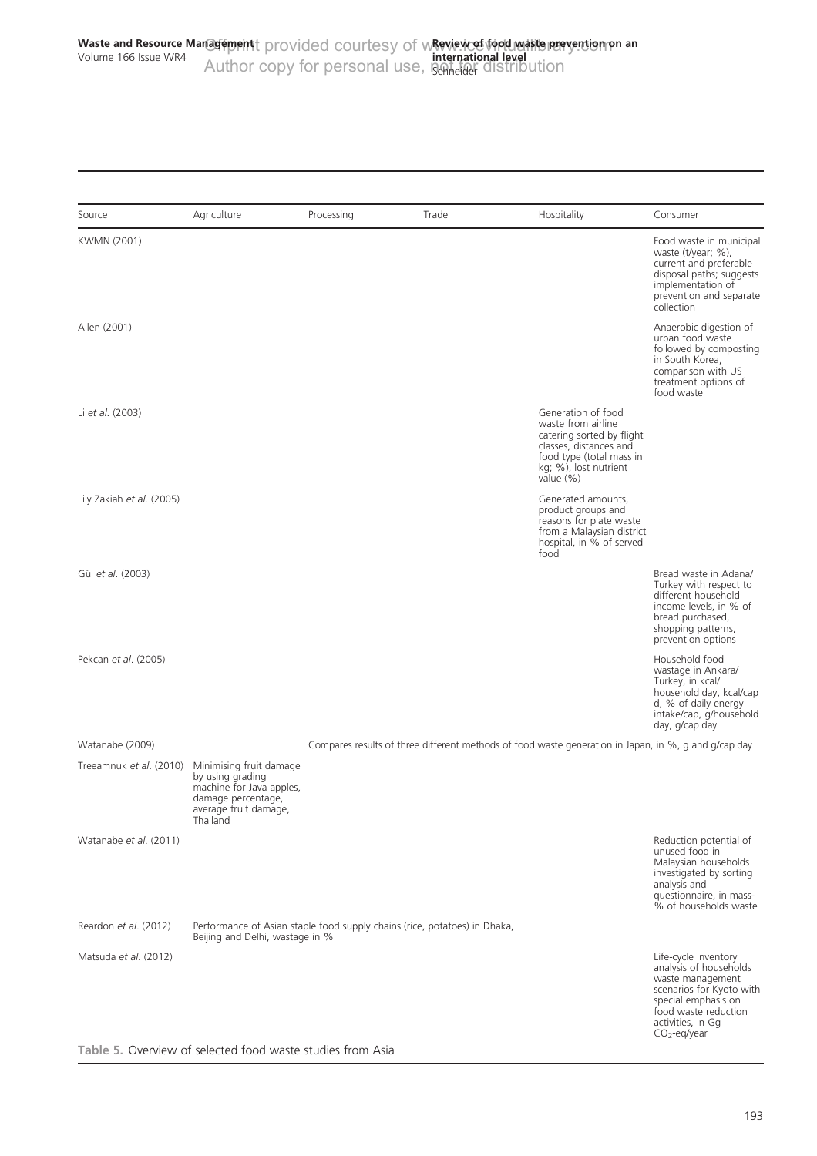<span id="page-6-0"></span>

| Source                    | Agriculture                                                                                                                        | Processing | Trade                                                                                                | Hospitality                                                                                                                                                       | Consumer                                                                                                                                                                             |
|---------------------------|------------------------------------------------------------------------------------------------------------------------------------|------------|------------------------------------------------------------------------------------------------------|-------------------------------------------------------------------------------------------------------------------------------------------------------------------|--------------------------------------------------------------------------------------------------------------------------------------------------------------------------------------|
| KWMN (2001)               |                                                                                                                                    |            |                                                                                                      |                                                                                                                                                                   | Food waste in municipal<br>waste (t/year; %),<br>current and preferable<br>disposal paths; suggests<br>implementation of<br>prevention and separate<br>collection                    |
| Allen (2001)              |                                                                                                                                    |            |                                                                                                      |                                                                                                                                                                   | Anaerobic digestion of<br>urban food waste<br>followed by composting<br>in South Korea,<br>comparison with US<br>treatment options of<br>food waste                                  |
| Li et al. (2003)          |                                                                                                                                    |            |                                                                                                      | Generation of food<br>waste from airline<br>catering sorted by flight<br>classes, distances and<br>food type (total mass in<br>kg; %), lost nutrient<br>value (%) |                                                                                                                                                                                      |
| Lily Zakiah et al. (2005) |                                                                                                                                    |            |                                                                                                      | Generated amounts,<br>product groups and<br>reasons for plate waste<br>from a Malaysian district<br>hospital, in % of served<br>food                              |                                                                                                                                                                                      |
| Gül et al. (2003)         |                                                                                                                                    |            |                                                                                                      |                                                                                                                                                                   | Bread waste in Adana/<br>Turkey with respect to<br>different household<br>income levels, in % of<br>bread purchased,<br>shopping patterns,<br>prevention options                     |
| Pekcan et al. (2005)      |                                                                                                                                    |            |                                                                                                      |                                                                                                                                                                   | Household food<br>wastage in Ankara/<br>Turkey, in kcal/<br>household day, kcal/cap<br>d, % of daily energy<br>intake/cap, g/household<br>day, g/cap day                             |
| Watanabe (2009)           |                                                                                                                                    |            | Compares results of three different methods of food waste generation in Japan, in %, g and g/cap day |                                                                                                                                                                   |                                                                                                                                                                                      |
| Treeamnuk et al. (2010)   | Minimising fruit damage<br>by using grading<br>machine for Java apples,<br>damage percentage,<br>average fruit damage,<br>Thailand |            |                                                                                                      |                                                                                                                                                                   |                                                                                                                                                                                      |
| Watanabe et al. (2011)    |                                                                                                                                    |            |                                                                                                      |                                                                                                                                                                   | Reduction potential of<br>unused food in<br>Malaysian households<br>investigated by sorting<br>analysis and<br>questionnaire, in mass-<br>% of households waste                      |
| Reardon et al. (2012)     | Performance of Asian staple food supply chains (rice, potatoes) in Dhaka,<br>Beijing and Delhi, wastage in %                       |            |                                                                                                      |                                                                                                                                                                   |                                                                                                                                                                                      |
| Matsuda et al. (2012)     |                                                                                                                                    |            |                                                                                                      |                                                                                                                                                                   | Life-cycle inventory<br>analysis of households<br>waste management<br>scenarios for Kyoto with<br>special emphasis on<br>food waste reduction<br>activities, in Gg<br>$CO2$ -eq/year |

Table 5. Overview of selected food waste studies from Asia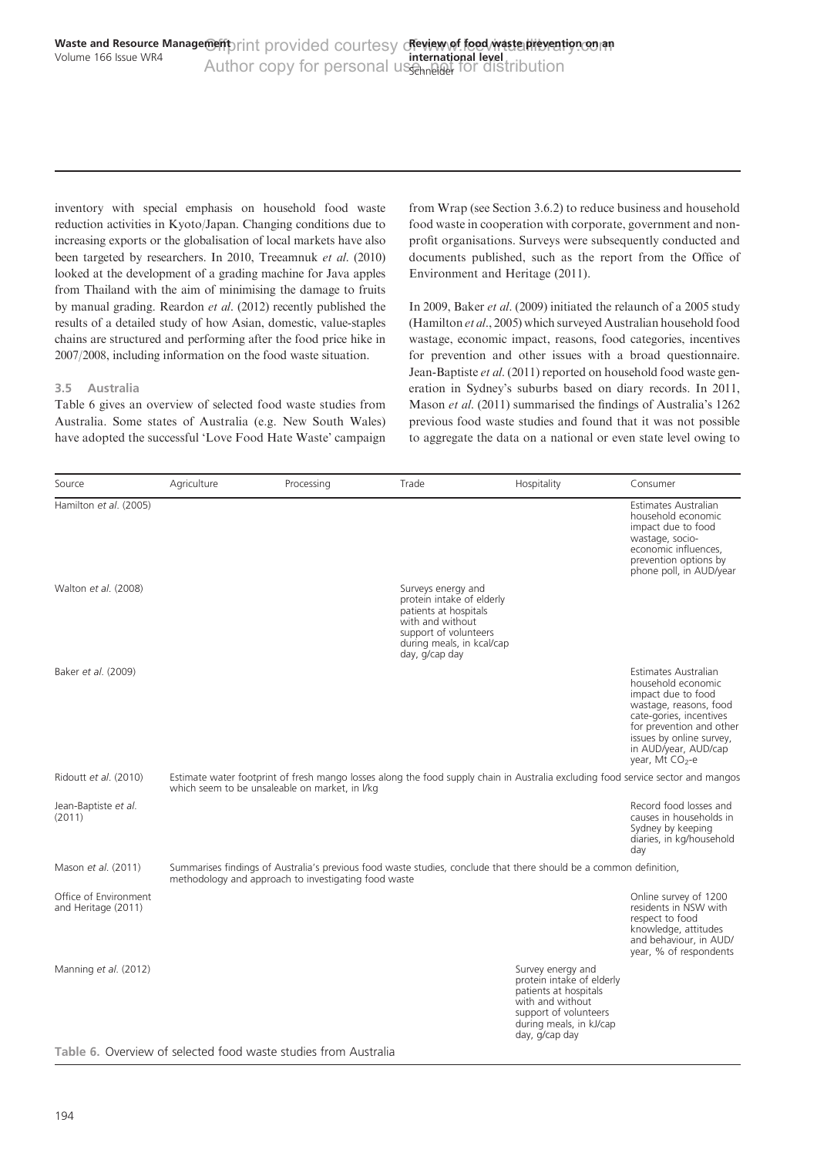inventory with special emphasis on household food waste reduction activities in Kyoto/Japan. Changing conditions due to increasing exports or the globalisation of local markets have also been targeted by researchers. In 2010, [Treeamnuk](#page-15-0) et al. (2010) looked at the development of a grading machine for Java apples from Thailand with the aim of minimising the damage to fruits by manual grading. [Reardon](#page-15-0) et al. (2012) recently published the results of a detailed study of how Asian, domestic, value-staples chains are structured and performing after the food price hike in 2007/2008, including information on the food waste situation.

## 3.5 Australia

Table 6 gives an overview of selected food waste studies from Australia. Some states of Australia (e.g. New South Wales) have adopted the successful 'Love Food Hate Waste' campaign from Wrap (see Section 3.6.2) to reduce business and household food waste in cooperation with corporate, government and nonprofit organisations. Surveys were subsequently conducted and documents published, such as the report from the [Office of](#page-15-0) [Environment and Heritage \(2011\).](#page-15-0)

In 2009, Baker et al[. \(2009\)](#page-12-0) initiated the relaunch of a 2005 study ([Hamilton](#page-14-0) et al., 2005) which surveyed Australian household food wastage, economic impact, reasons, food categories, incentives for prevention and other issues with a broad questionnaire. [Jean-Baptiste](#page-14-0) et al. (2011) reported on household food waste generation in Sydney's suburbs based on diary records. In 2011, Mason et al[. \(2011\)](#page-14-0) summarised the findings of Australia's 1262 previous food waste studies and found that it was not possible to aggregate the data on a national or even state level owing to

| Source                                       | Agriculture | Processing                                           | Trade                                                                                                                                                                | Hospitality                                                                                                                                                       | Consumer                                                                                                                                                                                                                             |
|----------------------------------------------|-------------|------------------------------------------------------|----------------------------------------------------------------------------------------------------------------------------------------------------------------------|-------------------------------------------------------------------------------------------------------------------------------------------------------------------|--------------------------------------------------------------------------------------------------------------------------------------------------------------------------------------------------------------------------------------|
| Hamilton et al. (2005)                       |             |                                                      |                                                                                                                                                                      |                                                                                                                                                                   | Estimates Australian<br>household economic<br>impact due to food<br>wastage, socio-<br>economic influences,<br>prevention options by<br>phone poll, in AUD/year                                                                      |
| Walton et al. (2008)                         |             |                                                      | Surveys energy and<br>protein intake of elderly<br>patients at hospitals<br>with and without<br>support of volunteers<br>during meals, in kcal/cap<br>day, g/cap day |                                                                                                                                                                   |                                                                                                                                                                                                                                      |
| Baker et al. (2009)                          |             |                                                      |                                                                                                                                                                      |                                                                                                                                                                   | Estimates Australian<br>household economic<br>impact due to food<br>wastage, reasons, food<br>cate-gories, incentives<br>for prevention and other<br>issues by online survey,<br>in AUD/year, AUD/cap<br>year, Mt CO <sub>2</sub> -e |
| Ridoutt et al. (2010)                        |             | which seem to be unsaleable on market, in I/kg       |                                                                                                                                                                      |                                                                                                                                                                   | Estimate water footprint of fresh mango losses along the food supply chain in Australia excluding food service sector and mangos                                                                                                     |
| Jean-Baptiste et al.<br>(2011)               |             |                                                      |                                                                                                                                                                      |                                                                                                                                                                   | Record food losses and<br>causes in households in<br>Sydney by keeping<br>diaries, in kg/household<br>dav                                                                                                                            |
| Mason et al. (2011)                          |             | methodology and approach to investigating food waste |                                                                                                                                                                      | Summarises findings of Australia's previous food waste studies, conclude that there should be a common definition,                                                |                                                                                                                                                                                                                                      |
| Office of Environment<br>and Heritage (2011) |             |                                                      |                                                                                                                                                                      |                                                                                                                                                                   | Online survey of 1200<br>residents in NSW with<br>respect to food<br>knowledge, attitudes<br>and behaviour, in AUD/<br>year, % of respondents                                                                                        |
| Manning et al. (2012)                        |             |                                                      |                                                                                                                                                                      | Survey energy and<br>protein intake of elderly<br>patients at hospitals<br>with and without<br>support of volunteers<br>during meals, in kJ/cap<br>day, g/cap day |                                                                                                                                                                                                                                      |

#### Table 6. Overview of selected food waste studies from Australia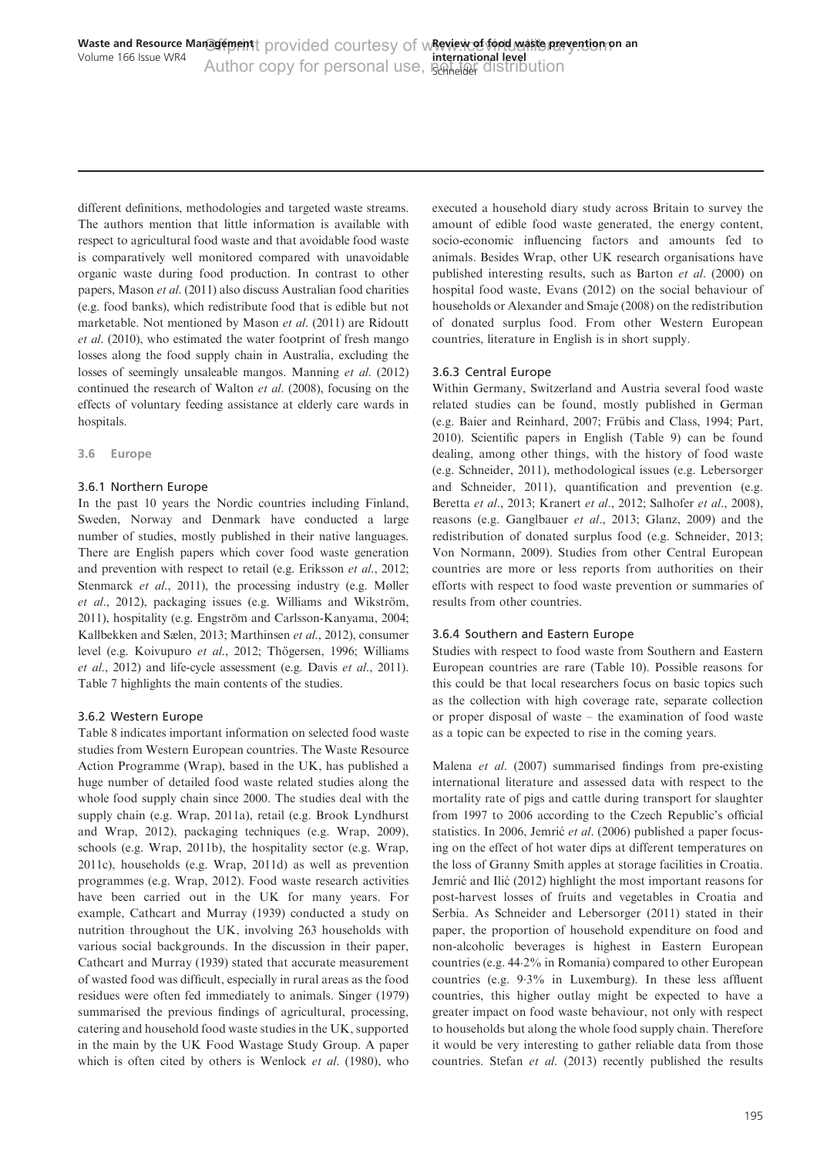different definitions, methodologies and targeted waste streams. The authors mention that little information is available with respect to agricultural food waste and that avoidable food waste is comparatively well monitored compared with unavoidable organic waste during food production. In contrast to other papers, Mason et al[. \(2011\)](#page-14-0) also discuss Australian food charities (e.g. food banks), which redistribute food that is edible but not marketable. Not mentioned by Mason et al[. \(2011\)](#page-14-0) are [Ridoutt](#page-15-0) et al[. \(2010\),](#page-15-0) who estimated the water footprint of fresh mango losses along the food supply chain in Australia, excluding the losses of seemingly unsaleable mangos. [Manning](#page-14-0) et al. (2012) continued the research of Walton et al[. \(2008\)](#page-16-0), focusing on the effects of voluntary feeding assistance at elderly care wards in hospitals.

#### 3.6 Europe

## 3.6.1 Northern Europe

In the past 10 years the Nordic countries including Finland, Sweden, Norway and Denmark have conducted a large number of studies, mostly published in their native languages. There are English papers which cover food waste generation and prevention with respect to retail (e.g. [Eriksson](#page-13-0) et al., 2012; [Stenmarck](#page-15-0) *et al.*, 2011), the processing industry (e.g. [Møller](#page-15-0) et al[., 2012\)](#page-15-0), packaging issues (e.g. Williams and Wikström, 2011), hospitality (e.g. Engström and Carlsson-Kanyama, 2004; [Kallbekken and Sælen, 2013](#page-14-0); [Marthinsen](#page-14-0) et al., 2012), consumer level (e.g. [Koivupuro](#page-14-0) et al., 2012; Thögersen, 1996; [Williams](#page-16-0) et al[., 2012\)](#page-16-0) and life-cycle assessment (e.g. Davis et al[., 2011\)](#page-13-0). [Table 7](#page-9-0) highlights the main contents of the studies.

## 3.6.2 Western Europe

[Table 8](#page-10-0) indicates important information on selected food waste studies from Western European countries. The Waste Resource Action Programme (Wrap), based in the UK, has published a huge number of detailed food waste related studies along the whole food supply chain since 2000. The studies deal with the supply chain (e.g. [Wrap, 2011a\)](#page-16-0), retail (e.g. [Brook Lyndhurst](#page-13-0) [and Wrap, 2012\)](#page-13-0), packaging techniques (e.g. [Wrap, 2009](#page-16-0)), schools (e.g. [Wrap, 2011b\)](#page-16-0), the hospitality sector (e.g. [Wrap,](#page-16-0) [2011c\)](#page-16-0), households (e.g. [Wrap, 2011d\)](#page-16-0) as well as prevention programmes (e.g. [Wrap, 2012\)](#page-16-0). Food waste research activities have been carried out in the UK for many years. For example, [Cathcart and Murray \(1939\)](#page-13-0) conducted a study on nutrition throughout the UK, involving 263 households with various social backgrounds. In the discussion in their paper, [Cathcart and Murray \(1939\)](#page-13-0) stated that accurate measurement of wasted food was difficult, especially in rural areas as the food residues were often fed immediately to animals. [Singer \(1979\)](#page-15-0) summarised the previous findings of agricultural, processing, catering and household food waste studies in the UK, supported in the main by the UK Food Wastage Study Group. A paper which is often cited by others is [Wenlock](#page-16-0) et al. (1980), who executed a household diary study across Britain to survey the amount of edible food waste generated, the energy content, socio-economic influencing factors and amounts fed to animals. Besides Wrap, other UK research organisations have published interesting results, such as Barton et al[. \(2000\)](#page-12-0) on hospital food waste, [Evans \(2012\)](#page-13-0) on the social behaviour of households or [Alexander and Smaje \(2008\)](#page-12-0) on the redistribution of donated surplus food. From other Western European countries, literature in English is in short supply.

## 3.6.3 Central Europe

Within Germany, Switzerland and Austria several food waste related studies can be found, mostly published in German (e.g. [Baier and Reinhard, 2007](#page-12-0); Frübis and Class, 1994; [Part,](#page-15-0) [2010\)](#page-15-0). Scientific papers in English ([Table 9\)](#page-11-0) can be found dealing, among other things, with the history of food waste (e.g. [Schneider, 2011](#page-15-0)), methodological issues (e.g. [Lebersorger](#page-14-0) [and Schneider, 2011\)](#page-14-0), quantification and prevention (e.g. [Beretta](#page-12-0) et al., 2013; [Kranert](#page-14-0) et al., 2012; [Salhofer](#page-15-0) et al., 2008), reasons (e.g. [Ganglbauer](#page-13-0) *et al.*, 2013; [Glanz, 2009](#page-13-0)) and the redistribution of donated surplus food (e.g. [Schneider, 2013](#page-15-0); [Von Normann, 2009](#page-16-0)). Studies from other Central European countries are more or less reports from authorities on their efforts with respect to food waste prevention or summaries of results from other countries.

## 3.6.4 Southern and Eastern Europe

Studies with respect to food waste from Southern and Eastern European countries are rare [\(Table 10\)](#page-11-0). Possible reasons for this could be that local researchers focus on basic topics such as the collection with high coverage rate, separate collection or proper disposal of waste – the examination of food waste as a topic can be expected to rise in the coming years.

Malena et al[. \(2007\)](#page-14-0) summarised findings from pre-existing international literature and assessed data with respect to the mortality rate of pigs and cattle during transport for slaughter from 1997 to 2006 according to the Czech Republic's official statistics. In 2006, Jemric<sup>c</sup> et al[. \(2006\)](#page-14-0) published a paper focusing on the effect of hot water dips at different temperatures on the loss of Granny Smith apples at storage facilities in Croatia. Jemrić and Ilić (2012) highlight the most important reasons for post-harvest losses of fruits and vegetables in Croatia and Serbia. As [Schneider and Lebersorger \(2011\)](#page-15-0) stated in their paper, the proportion of household expenditure on food and non-alcoholic beverages is highest in Eastern European countries (e.g. 44.2% in Romania) compared to other European countries (e.g. 9.3% in Luxemburg). In these less affluent countries, this higher outlay might be expected to have a greater impact on food waste behaviour, not only with respect to households but along the whole food supply chain. Therefore it would be very interesting to gather reliable data from those countries. Stefan et al[. \(2013\)](#page-15-0) recently published the results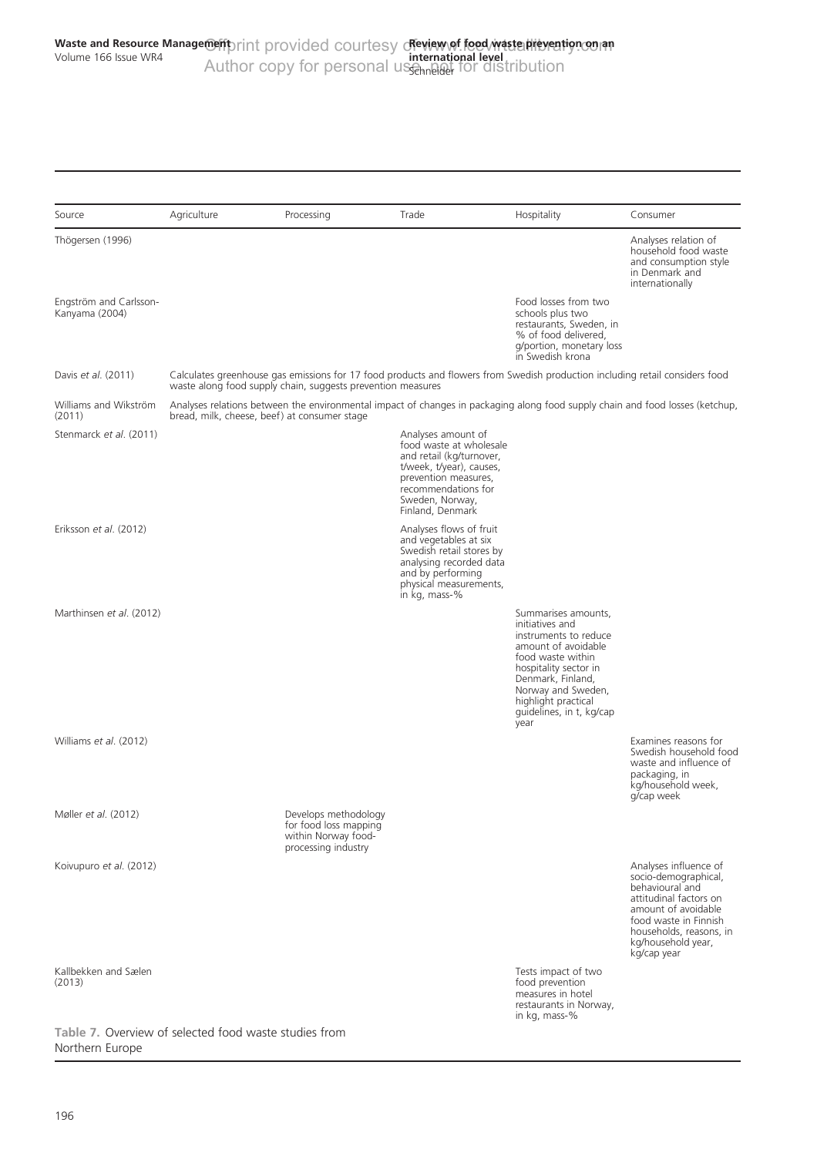<span id="page-9-0"></span>

| Source                                                | Agriculture | Processing                                                                                                                                                                                  | Trade                                                                                                                                                                                       | Hospitality                                                                                                                                                                                                                                | Consumer                                                                                                                                                                                                   |
|-------------------------------------------------------|-------------|---------------------------------------------------------------------------------------------------------------------------------------------------------------------------------------------|---------------------------------------------------------------------------------------------------------------------------------------------------------------------------------------------|--------------------------------------------------------------------------------------------------------------------------------------------------------------------------------------------------------------------------------------------|------------------------------------------------------------------------------------------------------------------------------------------------------------------------------------------------------------|
| Thögersen (1996)                                      |             |                                                                                                                                                                                             |                                                                                                                                                                                             |                                                                                                                                                                                                                                            | Analyses relation of<br>household food waste<br>and consumption style<br>in Denmark and<br>internationally                                                                                                 |
| Engström and Carlsson-<br>Kanyama (2004)              |             |                                                                                                                                                                                             |                                                                                                                                                                                             | Food losses from two<br>schools plus two<br>restaurants, Sweden, in<br>% of food delivered.<br>g/portion, monetary loss<br>in Swedish krona                                                                                                |                                                                                                                                                                                                            |
| Davis et al. (2011)                                   |             | Calculates greenhouse gas emissions for 17 food products and flowers from Swedish production including retail considers food<br>waste along food supply chain, suggests prevention measures |                                                                                                                                                                                             |                                                                                                                                                                                                                                            |                                                                                                                                                                                                            |
| Williams and Wikström<br>(2011)                       |             | Analyses relations between the environmental impact of changes in packaging along food supply chain and food losses (ketchup,<br>bread, milk, cheese, beef) at consumer stage               |                                                                                                                                                                                             |                                                                                                                                                                                                                                            |                                                                                                                                                                                                            |
| Stenmarck et al. (2011)                               |             |                                                                                                                                                                                             | Analyses amount of<br>food waste at wholesale<br>and retail (kg/turnover,<br>t/week, t/year), causes,<br>prevention measures,<br>recommendations for<br>Sweden, Norway,<br>Finland, Denmark |                                                                                                                                                                                                                                            |                                                                                                                                                                                                            |
| Eriksson et al. (2012)                                |             |                                                                                                                                                                                             | Analyses flows of fruit<br>and vegetables at six<br>Swedish retail stores by<br>analysing recorded data<br>and by performing<br>physical measurements,<br>in kg, mass-%                     |                                                                                                                                                                                                                                            |                                                                                                                                                                                                            |
| Marthinsen et al. (2012)                              |             |                                                                                                                                                                                             |                                                                                                                                                                                             | Summarises amounts,<br>initiatives and<br>instruments to reduce<br>amount of avoidable<br>food waste within<br>hospitality sector in<br>Denmark, Finland,<br>Norway and Sweden,<br>highlight practical<br>guidelines, in t, kg/cap<br>year |                                                                                                                                                                                                            |
| Williams et al. (2012)                                |             |                                                                                                                                                                                             |                                                                                                                                                                                             |                                                                                                                                                                                                                                            | Examines reasons for<br>Swedish household food<br>waste and influence of<br>packaging, in<br>kg/household week,<br>g/cap week                                                                              |
| Møller et al. (2012)                                  |             | Develops methodology<br>for food loss mapping<br>within Norway food-<br>processing industry                                                                                                 |                                                                                                                                                                                             |                                                                                                                                                                                                                                            |                                                                                                                                                                                                            |
| Koivupuro et al. (2012)                               |             |                                                                                                                                                                                             |                                                                                                                                                                                             |                                                                                                                                                                                                                                            | Analyses influence of<br>socio-demographical,<br>behavioural and<br>attitudinal factors on<br>amount of avoidable<br>food waste in Finnish<br>households, reasons, in<br>kg/household year,<br>kg/cap year |
| Kallbekken and Sælen<br>(2013)                        |             |                                                                                                                                                                                             |                                                                                                                                                                                             | Tests impact of two<br>food prevention<br>measures in hotel<br>restaurants in Norway,<br>in kg, mass-%                                                                                                                                     |                                                                                                                                                                                                            |
| Table 7. Overview of selected food waste studies from |             |                                                                                                                                                                                             |                                                                                                                                                                                             |                                                                                                                                                                                                                                            |                                                                                                                                                                                                            |

Northern Europe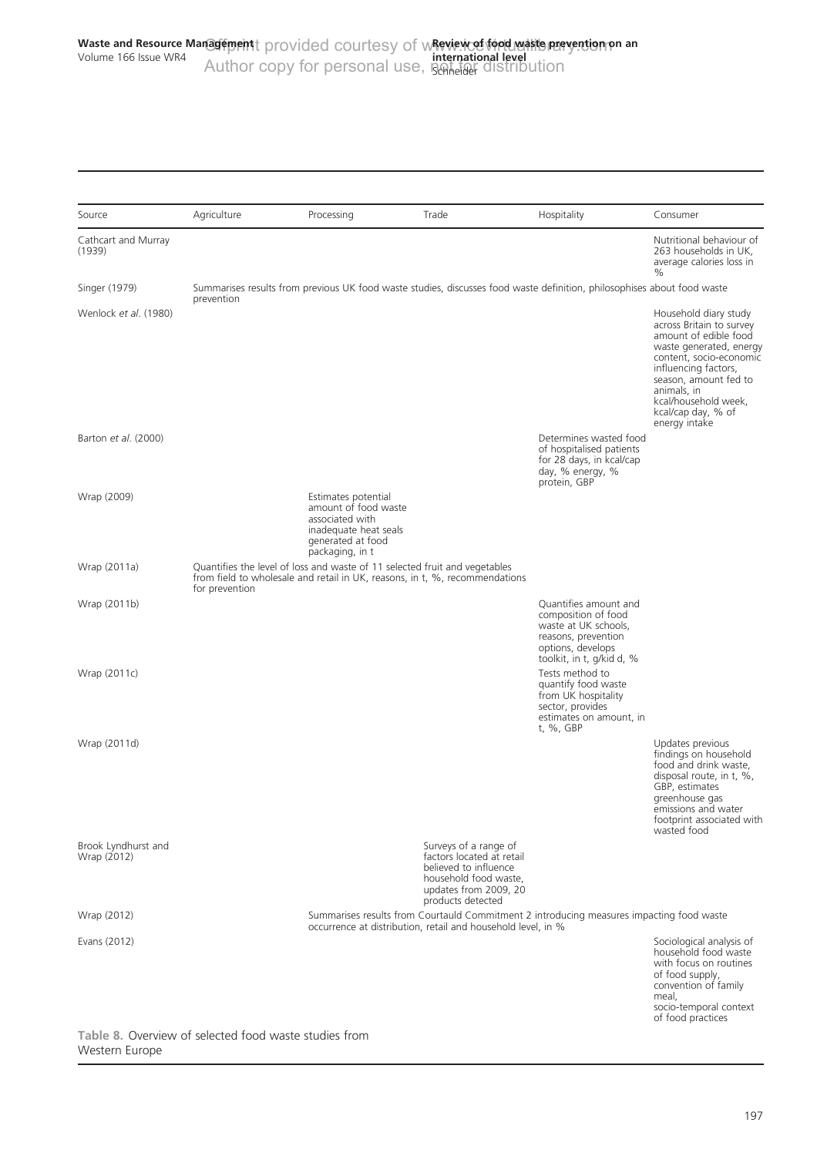<span id="page-10-0"></span>

| Source                             | Agriculture    | Processing                                                                                                                                                | Trade                                                                                                                                              | Hospitality                                                                                                                                   | Consumer                                                                                                                                                                                                                                                        |
|------------------------------------|----------------|-----------------------------------------------------------------------------------------------------------------------------------------------------------|----------------------------------------------------------------------------------------------------------------------------------------------------|-----------------------------------------------------------------------------------------------------------------------------------------------|-----------------------------------------------------------------------------------------------------------------------------------------------------------------------------------------------------------------------------------------------------------------|
| Cathcart and Murray<br>(1939)      |                |                                                                                                                                                           |                                                                                                                                                    |                                                                                                                                               | Nutritional behaviour of<br>263 households in UK,<br>average calories loss in<br>$\%$                                                                                                                                                                           |
| Singer (1979)                      | prevention     |                                                                                                                                                           |                                                                                                                                                    | Summarises results from previous UK food waste studies, discusses food waste definition, philosophises about food waste                       |                                                                                                                                                                                                                                                                 |
| Wenlock et al. (1980)              |                |                                                                                                                                                           |                                                                                                                                                    |                                                                                                                                               | Household diary study<br>across Britain to survey<br>amount of edible food<br>waste generated, energy<br>content, socio-economic<br>influencing factors,<br>season, amount fed to<br>animals, in<br>kcal/household week,<br>kcal/cap day, % of<br>energy intake |
| Barton et al. (2000)               |                |                                                                                                                                                           |                                                                                                                                                    | Determines wasted food<br>of hospitalised patients<br>for 28 days, in kcal/cap<br>day, % energy, %<br>protein, GBP                            |                                                                                                                                                                                                                                                                 |
| Wrap (2009)                        |                | Estimates potential<br>amount of food waste<br>associated with<br>inadequate heat seals<br>generated at food<br>packaging, in t                           |                                                                                                                                                    |                                                                                                                                               |                                                                                                                                                                                                                                                                 |
| Wrap (2011a)                       | for prevention | Quantifies the level of loss and waste of 11 selected fruit and vegetables<br>from field to wholesale and retail in UK, reasons, in t, %, recommendations |                                                                                                                                                    |                                                                                                                                               |                                                                                                                                                                                                                                                                 |
| Wrap (2011b)                       |                |                                                                                                                                                           |                                                                                                                                                    | Quantifies amount and<br>composition of food<br>waste at UK schools,<br>reasons, prevention<br>options, develops<br>toolkit, in t, g/kid d, % |                                                                                                                                                                                                                                                                 |
| Wrap (2011c)                       |                |                                                                                                                                                           |                                                                                                                                                    | Tests method to<br>quantify food waste<br>from UK hospitality<br>sector, provides<br>estimates on amount, in<br>t, %, GBP                     |                                                                                                                                                                                                                                                                 |
| Wrap (2011d)                       |                |                                                                                                                                                           |                                                                                                                                                    |                                                                                                                                               | Updates previous<br>findings on household<br>food and drink waste,<br>disposal route, in t, %,<br>GBP, estimates<br>greenhouse gas<br>emissions and water<br>footprint associated with<br>wasted food                                                           |
| Brook Lyndhurst and<br>Wrap (2012) |                |                                                                                                                                                           | Surveys of a range of<br>factors located at retail<br>believed to influence<br>household food waste,<br>updates from 2009, 20<br>products detected |                                                                                                                                               |                                                                                                                                                                                                                                                                 |
| Wrap (2012)                        |                |                                                                                                                                                           | occurrence at distribution, retail and household level, in %                                                                                       | Summarises results from Courtauld Commitment 2 introducing measures impacting food waste                                                      |                                                                                                                                                                                                                                                                 |
| Evans (2012)                       |                |                                                                                                                                                           |                                                                                                                                                    |                                                                                                                                               | Sociological analysis of<br>household food waste<br>with focus on routines<br>of food supply,<br>convention of family<br>meal,<br>socio-temporal context<br>of food practices                                                                                   |

Table 8. Overview of selected food waste studies from Western Europe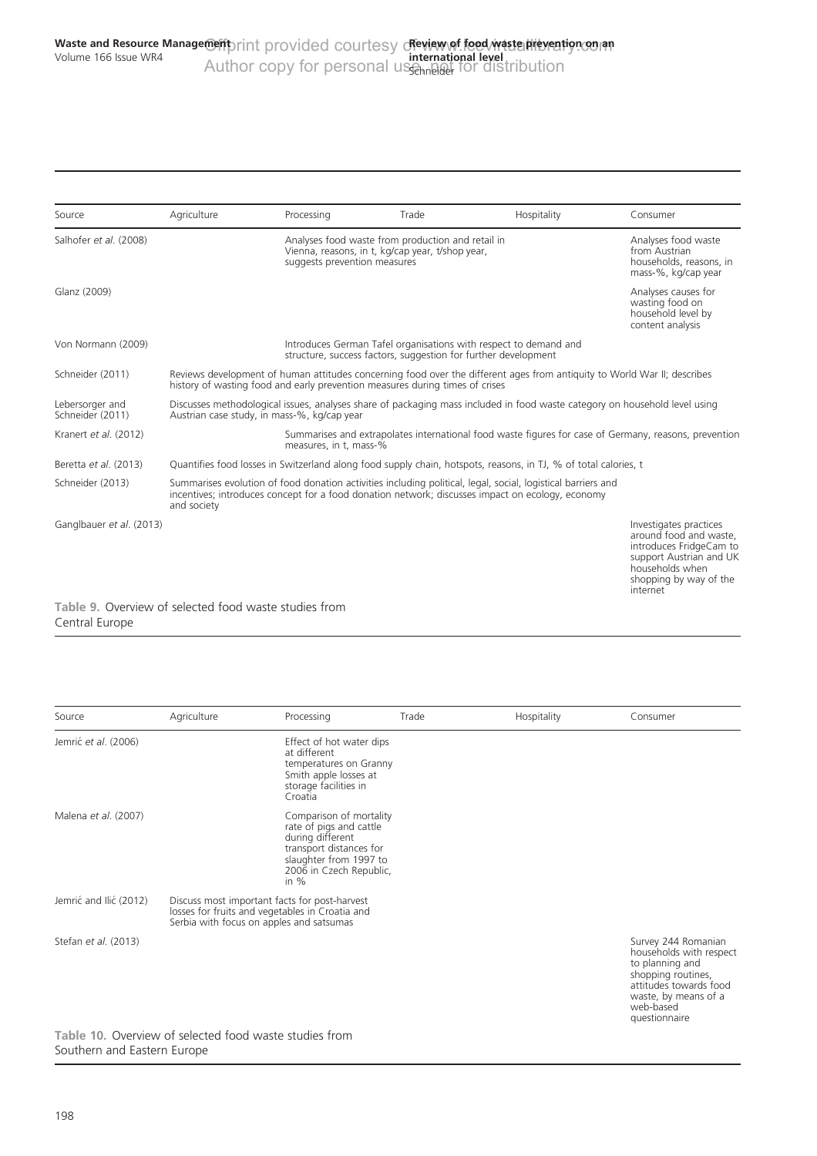<span id="page-11-0"></span>

| Source                                                                  | Agriculture                                                                                                                                                                                              | Processing                   | Trade                                                                                                 | Hospitality                                                                                                                                                                                                      | Consumer                                                                                                                                                        |
|-------------------------------------------------------------------------|----------------------------------------------------------------------------------------------------------------------------------------------------------------------------------------------------------|------------------------------|-------------------------------------------------------------------------------------------------------|------------------------------------------------------------------------------------------------------------------------------------------------------------------------------------------------------------------|-----------------------------------------------------------------------------------------------------------------------------------------------------------------|
| Salhofer et al. (2008)                                                  |                                                                                                                                                                                                          | suggests prevention measures | Analyses food waste from production and retail in<br>Vienna, reasons, in t, kg/cap year, t/shop year, |                                                                                                                                                                                                                  | Analyses food waste<br>from Austrian<br>households, reasons, in<br>mass-%, kg/cap year                                                                          |
| Glanz (2009)                                                            |                                                                                                                                                                                                          |                              |                                                                                                       |                                                                                                                                                                                                                  | Analyses causes for<br>wasting food on<br>household level by<br>content analysis                                                                                |
| Von Normann (2009)                                                      |                                                                                                                                                                                                          |                              | structure, success factors, suggestion for further development                                        | Introduces German Tafel organisations with respect to demand and                                                                                                                                                 |                                                                                                                                                                 |
| Schneider (2011)                                                        | Reviews development of human attitudes concerning food over the different ages from antiquity to World War II; describes<br>history of wasting food and early prevention measures during times of crises |                              |                                                                                                       |                                                                                                                                                                                                                  |                                                                                                                                                                 |
| Lebersorger and<br>Schneider (2011)                                     | Discusses methodological issues, analyses share of packaging mass included in food waste category on household level using<br>Austrian case study, in mass-%, kg/cap year                                |                              |                                                                                                       |                                                                                                                                                                                                                  |                                                                                                                                                                 |
| Kranert et al. (2012)                                                   |                                                                                                                                                                                                          | measures, in t, mass-%       |                                                                                                       |                                                                                                                                                                                                                  | Summarises and extrapolates international food waste figures for case of Germany, reasons, prevention                                                           |
| Beretta et al. (2013)                                                   |                                                                                                                                                                                                          |                              |                                                                                                       | Quantifies food losses in Switzerland along food supply chain, hotspots, reasons, in TJ, % of total calories, t                                                                                                  |                                                                                                                                                                 |
| Schneider (2013)                                                        | and society                                                                                                                                                                                              |                              |                                                                                                       | Summarises evolution of food donation activities including political, legal, social, logistical barriers and<br>incentives; introduces concept for a food donation network; discusses impact on ecology, economy |                                                                                                                                                                 |
| Ganglbauer et al. (2013)                                                |                                                                                                                                                                                                          |                              |                                                                                                       |                                                                                                                                                                                                                  | Investigates practices<br>around food and waste,<br>introduces FridgeCam to<br>support Austrian and UK<br>households when<br>shopping by way of the<br>internet |
| Table 9. Overview of selected food waste studies from<br>Central Europe |                                                                                                                                                                                                          |                              |                                                                                                       |                                                                                                                                                                                                                  |                                                                                                                                                                 |

| Source                 | Agriculture                                                                                                                                                                                                                    | Processing                                                                                                                                                       | Trade | Hospitality | Consumer                                                                                                                                                                |
|------------------------|--------------------------------------------------------------------------------------------------------------------------------------------------------------------------------------------------------------------------------|------------------------------------------------------------------------------------------------------------------------------------------------------------------|-------|-------------|-------------------------------------------------------------------------------------------------------------------------------------------------------------------------|
| Jemrić et al. (2006)   |                                                                                                                                                                                                                                | Effect of hot water dips<br>at different<br>temperatures on Granny<br>Smith apple losses at<br>storage facilities in<br>Croatia                                  |       |             |                                                                                                                                                                         |
| Malena et al. (2007)   |                                                                                                                                                                                                                                | Comparison of mortality<br>rate of pigs and cattle<br>during different<br>transport distances for<br>slaughter from 1997 to<br>2006 in Czech Republic,<br>in $%$ |       |             |                                                                                                                                                                         |
| Jemrić and Ilić (2012) | Discuss most important facts for post-harvest<br>losses for fruits and vegetables in Croatia and<br>Serbia with focus on apples and satsumas                                                                                   |                                                                                                                                                                  |       |             |                                                                                                                                                                         |
| Stefan et al. (2013)   | the left of all and complete the collection of the collection of the collection of the collection of the collection of the collection of the collection of the collection of the collection of the collection of the collectio |                                                                                                                                                                  |       |             | Survey 244 Romanian<br>households with respect<br>to planning and<br>shopping routines,<br>attitudes towards food<br>waste, by means of a<br>web-based<br>questionnaire |

Table 10. Overview of selected food waste studies from Southern and Eastern Europe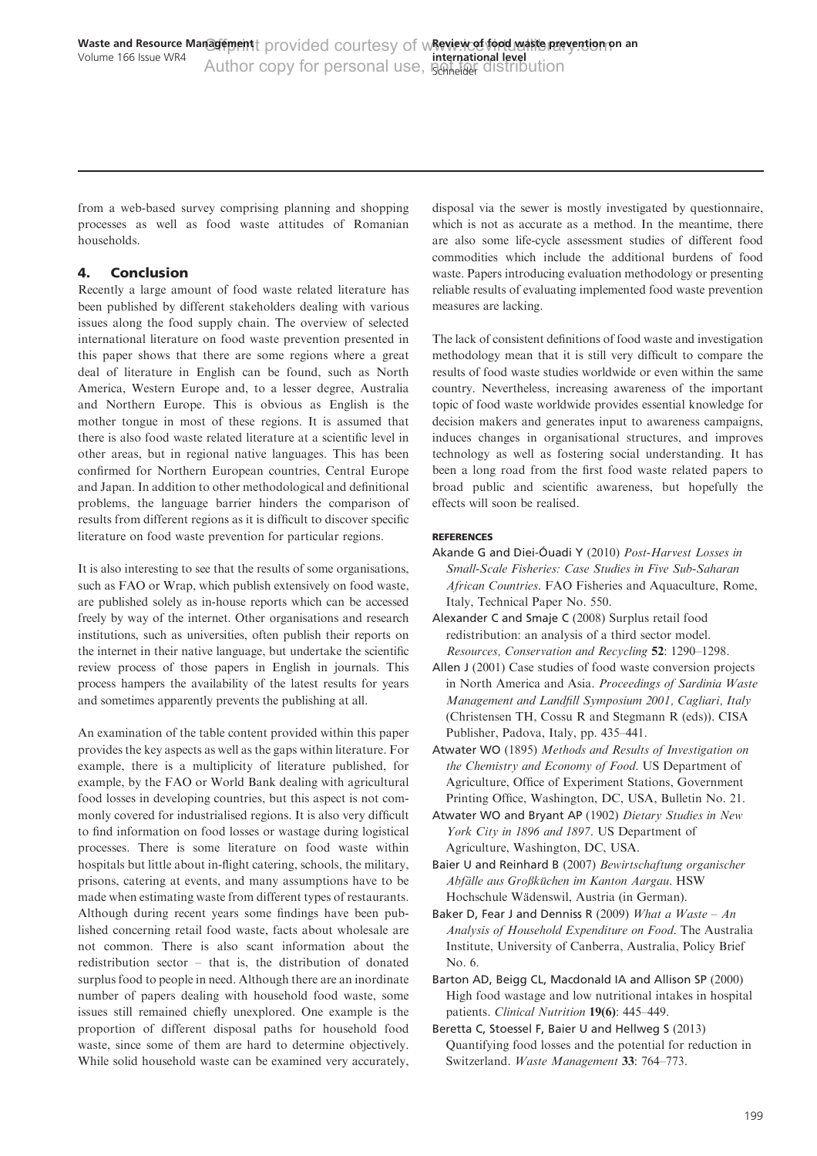<span id="page-12-0"></span>from a web-based survey comprising planning and shopping processes as well as food waste attitudes of Romanian households.

# 4. Conclusion

Recently a large amount of food waste related literature has been published by different stakeholders dealing with various issues along the food supply chain. The overview of selected international literature on food waste prevention presented in this paper shows that there are some regions where a great deal of literature in English can be found, such as North America, Western Europe and, to a lesser degree, Australia and Northern Europe. This is obvious as English is the mother tongue in most of these regions. It is assumed that there is also food waste related literature at a scientific level in other areas, but in regional native languages. This has been confirmed for Northern European countries, Central Europe and Japan. In addition to other methodological and definitional problems, the language barrier hinders the comparison of results from different regions as it is difficult to discover specific literature on food waste prevention for particular regions.

It is also interesting to see that the results of some organisations, such as FAO or Wrap, which publish extensively on food waste, are published solely as in-house reports which can be accessed freely by way of the internet. Other organisations and research institutions, such as universities, often publish their reports on the internet in their native language, but undertake the scientific review process of those papers in English in journals. This process hampers the availability of the latest results for years and sometimes apparently prevents the publishing at all.

An examination of the table content provided within this paper provides the key aspects as well as the gaps within literature. For example, there is a multiplicity of literature published, for example, by the FAO or World Bank dealing with agricultural food losses in developing countries, but this aspect is not commonly covered for industrialised regions. It is also very difficult to find information on food losses or wastage during logistical processes. There is some literature on food waste within hospitals but little about in-flight catering, schools, the military, prisons, catering at events, and many assumptions have to be made when estimating waste from different types of restaurants. Although during recent years some findings have been published concerning retail food waste, facts about wholesale are not common. There is also scant information about the redistribution sector – that is, the distribution of donated surplus food to people in need. Although there are an inordinate number of papers dealing with household food waste, some issues still remained chiefly unexplored. One example is the proportion of different disposal paths for household food waste, since some of them are hard to determine objectively. While solid household waste can be examined very accurately, disposal via the sewer is mostly investigated by questionnaire, which is not as accurate as a method. In the meantime, there are also some life-cycle assessment studies of different food commodities which include the additional burdens of food waste. Papers introducing evaluation methodology or presenting reliable results of evaluating implemented food waste prevention measures are lacking.

The lack of consistent definitions of food waste and investigation methodology mean that it is still very difficult to compare the results of food waste studies worldwide or even within the same country. Nevertheless, increasing awareness of the important topic of food waste worldwide provides essential knowledge for decision makers and generates input to awareness campaigns, induces changes in organisational structures, and improves technology as well as fostering social understanding. It has been a long road from the first food waste related papers to broad public and scientific awareness, but hopefully the effects will soon be realised.

## REFERENCES

- Akande G and Diei-Óuadi Y (2010) Post-Harvest Losses in Small-Scale Fisheries: Case Studies in Five Sub-Saharan African Countries. FAO Fisheries and Aquaculture, Rome, Italy, Technical Paper No. 550.
- Alexander C and Smaje C (2008) Surplus retail food redistribution: an analysis of a third sector model. Resources, Conservation and Recycling 52: 1290–1298.
- Allen J (2001) Case studies of food waste conversion projects in North America and Asia. Proceedings of Sardinia Waste Management and Landfill Symposium 2001, Cagliari, Italy (Christensen TH, Cossu R and Stegmann R (eds)). CISA Publisher, Padova, Italy, pp. 435–441.
- Atwater WO (1895) Methods and Results of Investigation on the Chemistry and Economy of Food. US Department of Agriculture, Office of Experiment Stations, Government Printing Office, Washington, DC, USA, Bulletin No. 21.
- Atwater WO and Bryant AP (1902) Dietary Studies in New York City in 1896 and 1897. US Department of Agriculture, Washington, DC, USA.
- Baier U and Reinhard B (2007) Bewirtschaftung organischer Abfälle aus Großküchen im Kanton Aargau. HSW Hochschule Wädenswil, Austria (in German).
- Baker D, Fear J and Denniss R (2009) What a Waste An Analysis of Household Expenditure on Food. The Australia Institute, University of Canberra, Australia, Policy Brief No. 6.
- Barton AD, Beigg CL, Macdonald IA and Allison SP (2000) High food wastage and low nutritional intakes in hospital patients. Clinical Nutrition 19(6): 445–449.
- Beretta C, Stoessel F, Baier U and Hellweg S (2013) Quantifying food losses and the potential for reduction in Switzerland. Waste Management 33: 764–773.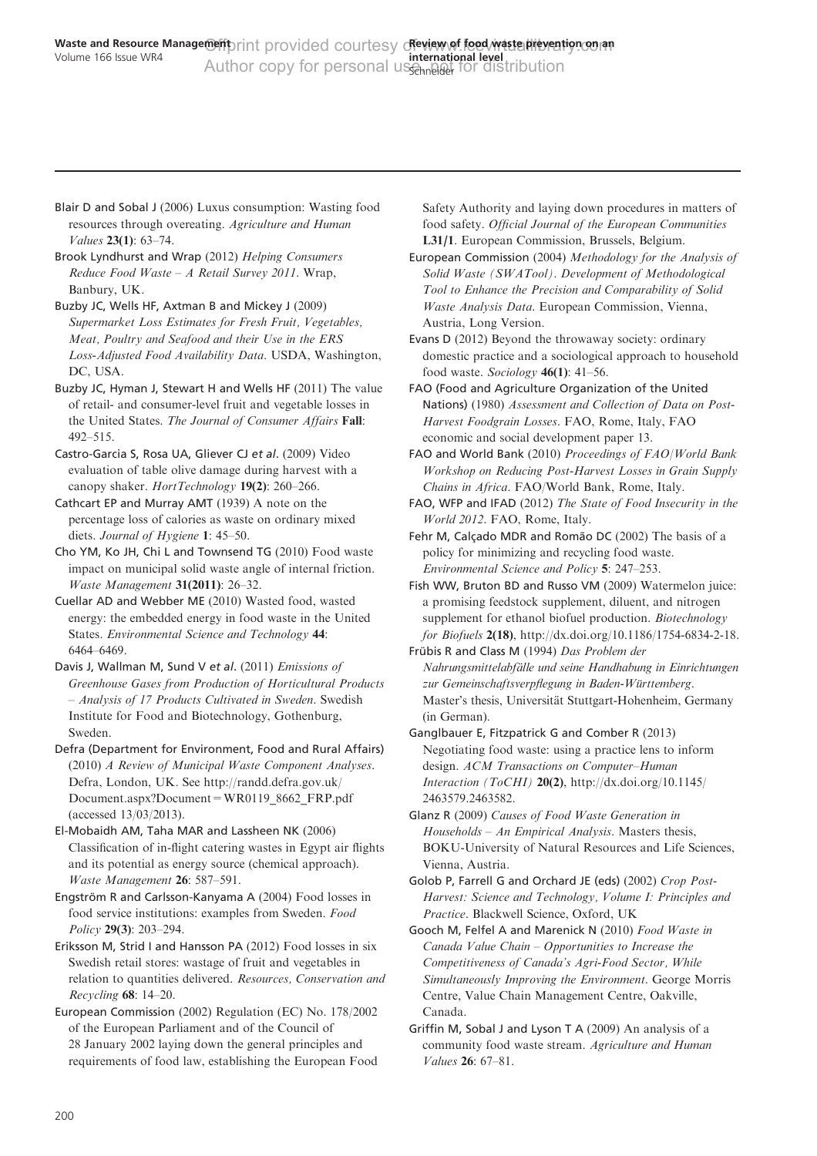<span id="page-13-0"></span>Blair D and Sobal J (2006) Luxus consumption: Wasting food resources through overeating. Agriculture and Human Values 23(1): 63–74.

Brook Lyndhurst and Wrap (2012) Helping Consumers Reduce Food Waste – A Retail Survey 2011. Wrap, Banbury, UK.

Buzby JC, Wells HF, Axtman B and Mickey J (2009) Supermarket Loss Estimates for Fresh Fruit, Vegetables, Meat, Poultry and Seafood and their Use in the ERS Loss-Adjusted Food Availability Data. USDA, Washington, DC, USA.

Buzby JC, Hyman J, Stewart H and Wells HF (2011) The value of retail- and consumer-level fruit and vegetable losses in the United States. The Journal of Consumer Affairs Fall: 492–515.

Castro-Garcia S, Rosa UA, Gliever CJ et al. (2009) Video evaluation of table olive damage during harvest with a canopy shaker. HortTechnology 19(2): 260-266.

Cathcart EP and Murray AMT (1939) A note on the percentage loss of calories as waste on ordinary mixed diets. Journal of Hygiene 1: 45–50.

Cho YM, Ko JH, Chi L and Townsend TG (2010) Food waste impact on municipal solid waste angle of internal friction. Waste Management 31(2011): 26–32.

Cuellar AD and Webber ME (2010) Wasted food, wasted energy: the embedded energy in food waste in the United States. Environmental Science and Technology 44: 6464–6469.

Davis J, Wallman M, Sund V et al. (2011) Emissions of Greenhouse Gases from Production of Horticultural Products – Analysis of 17 Products Cultivated in Sweden. Swedish Institute for Food and Biotechnology, Gothenburg, Sweden.

Defra (Department for Environment, Food and Rural Affairs) (2010) A Review of Municipal Waste Component Analyses. Defra, London, UK. See [http://randd.defra.gov.uk/](http://randd.defra.gov.uk/Document.aspx?Document=WR0119_8662_FRP.pdf) [Document.aspx?Document=WR0119\\_8662\\_FRP.pdf](http://randd.defra.gov.uk/Document.aspx?Document=WR0119_8662_FRP.pdf) [\(accessed 13/03/2013\).](http://randd.defra.gov.uk/Document.aspx?Document=WR0119_8662_FRP.pdf)

El-Mobaidh AM, Taha MAR and Lassheen NK (2006) Classification of in-flight catering wastes in Egypt air flights and its potential as energy source (chemical approach). Waste Management 26: 587–591.

Engström R and Carlsson-Kanyama A (2004) Food losses in food service institutions: examples from Sweden. Food Policy 29(3): 203–294.

Eriksson M, Strid I and Hansson PA (2012) Food losses in six Swedish retail stores: wastage of fruit and vegetables in relation to quantities delivered. Resources, Conservation and Recycling 68: 14–20.

European Commission (2002) Regulation (EC) No. 178/2002 of the European Parliament and of the Council of 28 January 2002 laying down the general principles and requirements of food law, establishing the European Food Safety Authority and laying down procedures in matters of food safety. Official Journal of the European Communities L31/1. European Commission, Brussels, Belgium.

European Commission (2004) Methodology for the Analysis of Solid Waste (SWATool). Development of Methodological Tool to Enhance the Precision and Comparability of Solid Waste Analysis Data. European Commission, Vienna, Austria, Long Version.

Evans D (2012) Beyond the throwaway society: ordinary domestic practice and a sociological approach to household food waste. Sociology  $46(1)$ : 41–56.

FAO (Food and Agriculture Organization of the United Nations) (1980) Assessment and Collection of Data on Post-Harvest Foodgrain Losses. FAO, Rome, Italy, FAO economic and social development paper 13.

FAO and World Bank (2010) Proceedings of FAO/World Bank Workshop on Reducing Post-Harvest Losses in Grain Supply Chains in Africa. FAO/World Bank, Rome, Italy.

FAO, WFP and IFAD (2012) The State of Food Insecurity in the World 2012. FAO, Rome, Italy.

Fehr M, Calçado MDR and Romão DC (2002) The basis of a policy for minimizing and recycling food waste. Environmental Science and Policy 5: 247–253.

Fish WW, Bruton BD and Russo VM (2009) Watermelon juice: a promising feedstock supplement, diluent, and nitrogen supplement for ethanol biofuel production. Biotechnology for Biofuels 2(18),<http://dx.doi.org/10.1186/1754-6834-2-18.>

Frübis R and Class M (1994) Das Problem der Nahrungsmittelabfälle und seine Handhabung in Einrichtungen zur Gemeinschaftsverpflegung in Baden-Württemberg. Master's thesis, Universität Stuttgart-Hohenheim, Germany (in German).

Ganglbauer E, Fitzpatrick G and Comber R (2013) Negotiating food waste: using a practice lens to inform design. ACM Transactions on Computer–Human Interaction (ToCHI) 20(2), [http://dx.doi.org/10.1145/](http://dx.doi.org/10.1145/2463579.2463582) [2463579.2463582.](http://dx.doi.org/10.1145/2463579.2463582)

Glanz R (2009) Causes of Food Waste Generation in Households – An Empirical Analysis. Masters thesis, BOKU-University of Natural Resources and Life Sciences, Vienna, Austria.

Golob P, Farrell G and Orchard JE (eds) (2002) Crop Post-Harvest: Science and Technology, Volume I: Principles and Practice. Blackwell Science, Oxford, UK

Gooch M, Felfel A and Marenick N (2010) Food Waste in Canada Value Chain – Opportunities to Increase the Competitiveness of Canada's Agri-Food Sector, While Simultaneously Improving the Environment. George Morris Centre, Value Chain Management Centre, Oakville, Canada.

Griffin M, Sobal J and Lyson T A (2009) An analysis of a community food waste stream. Agriculture and Human Values 26: 67–81.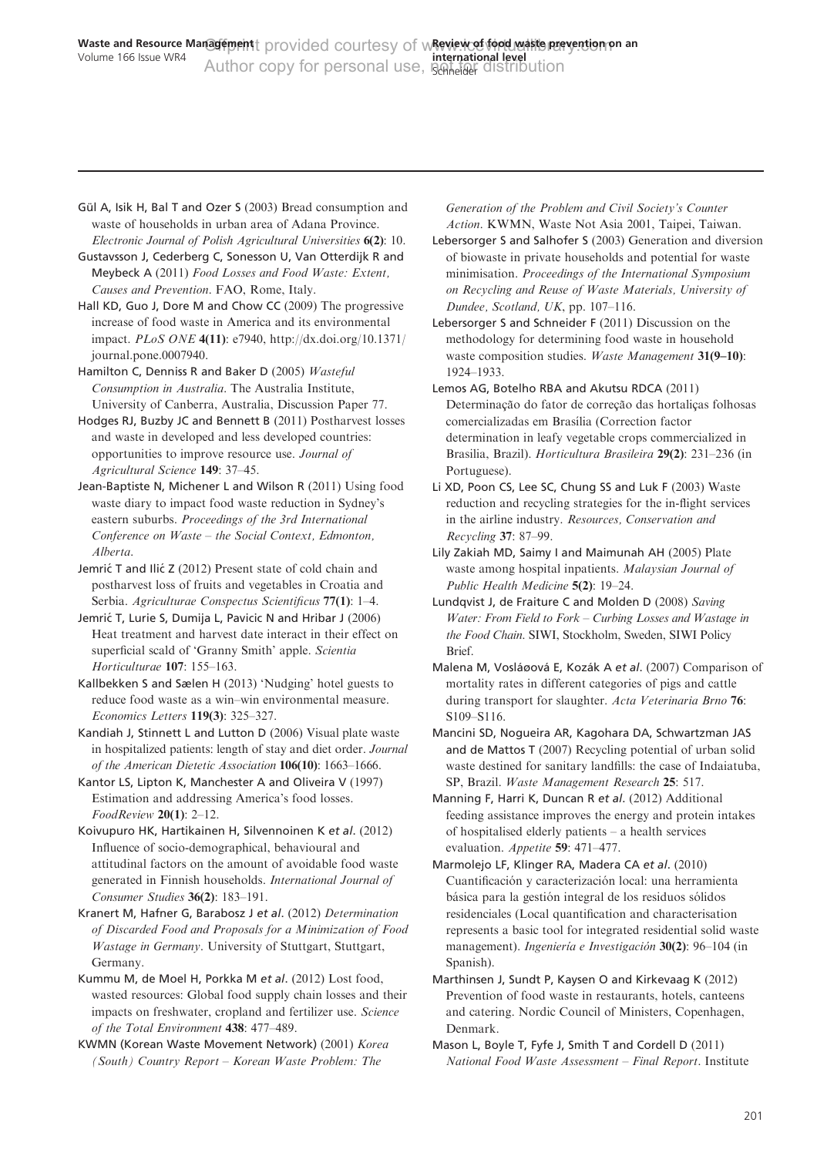<span id="page-14-0"></span>Gül A, Isik H, Bal T and Ozer S (2003) Bread consumption and waste of households in urban area of Adana Province. Electronic Journal of Polish Agricultural Universities 6(2): 10.

Gustavsson J, Cederberg C, Sonesson U, Van Otterdijk R and Meybeck A (2011) Food Losses and Food Waste: Extent, Causes and Prevention. FAO, Rome, Italy.

Hall KD, Guo J, Dore M and Chow CC (2009) The progressive increase of food waste in America and its environmental impact. PLoS ONE 4(11): e7940, [http://dx.doi.org/10.1371/](http://dx.doi.org/10.1371/journal.pone.0007940) [journal.pone.0007940.](http://dx.doi.org/10.1371/journal.pone.0007940)

Hamilton C, Denniss R and Baker D (2005) Wasteful Consumption in Australia. The Australia Institute, University of Canberra, Australia, Discussion Paper 77.

Hodges RJ, Buzby JC and Bennett B (2011) Postharvest losses and waste in developed and less developed countries: opportunities to improve resource use. Journal of Agricultural Science 149: 37–45.

Jean-Baptiste N, Michener L and Wilson R (2011) Using food waste diary to impact food waste reduction in Sydney's eastern suburbs. Proceedings of the 3rd International Conference on Waste – the Social Context, Edmonton, Alberta.

Jemrić T and Ilić Z (2012) Present state of cold chain and postharvest loss of fruits and vegetables in Croatia and Serbia. Agriculturae Conspectus Scientificus 77(1): 1–4.

Jemrić T, Lurie S, Dumija L, Pavicic N and Hribar J (2006) Heat treatment and harvest date interact in their effect on superficial scald of 'Granny Smith' apple. Scientia Horticulturae 107: 155–163.

Kallbekken S and Sælen H (2013) 'Nudging' hotel guests to reduce food waste as a win–win environmental measure. Economics Letters 119(3): 325–327.

Kandiah J, Stinnett L and Lutton D (2006) Visual plate waste in hospitalized patients: length of stay and diet order. Journal of the American Dietetic Association 106(10): 1663–1666.

Kantor LS, Lipton K, Manchester A and Oliveira V (1997) Estimation and addressing America's food losses. FoodReview 20(1): 2–12.

Koivupuro HK, Hartikainen H, Silvennoinen K et al. (2012) Influence of socio-demographical, behavioural and attitudinal factors on the amount of avoidable food waste generated in Finnish households. International Journal of Consumer Studies 36(2): 183–191.

Kranert M, Hafner G, Barabosz J et al. (2012) Determination of Discarded Food and Proposals for a Minimization of Food Wastage in Germany. University of Stuttgart, Stuttgart, Germany.

Kummu M, de Moel H, Porkka M et al. (2012) Lost food, wasted resources: Global food supply chain losses and their impacts on freshwater, cropland and fertilizer use. Science of the Total Environment 438: 477–489.

KWMN (Korean Waste Movement Network) (2001) Korea (South) Country Report – Korean Waste Problem: The

Generation of the Problem and Civil Society's Counter Action. KWMN, Waste Not Asia 2001, Taipei, Taiwan.

Lebersorger S and Salhofer S (2003) Generation and diversion of biowaste in private households and potential for waste minimisation. Proceedings of the International Symposium on Recycling and Reuse of Waste Materials, University of Dundee, Scotland, UK, pp. 107–116.

Lebersorger S and Schneider F (2011) Discussion on the methodology for determining food waste in household waste composition studies. Waste Management 31(9-10): 1924–1933.

Lemos AG, Botelho RBA and Akutsu RDCA (2011) Determinação do fator de correção das hortalicas folhosas comercializadas em Brasília (Correction factor determination in leafy vegetable crops commercialized in Brasilia, Brazil). Horticultura Brasileira 29(2): 231–236 (in Portuguese).

Li XD, Poon CS, Lee SC, Chung SS and Luk F (2003) Waste reduction and recycling strategies for the in-flight services in the airline industry. Resources, Conservation and Recycling 37: 87–99.

Lily Zakiah MD, Saimy I and Maimunah AH (2005) Plate waste among hospital inpatients. Malaysian Journal of Public Health Medicine 5(2): 19–24.

Lundqvist J, de Fraiture C and Molden D (2008) Saving Water: From Field to Fork – Curbing Losses and Wastage in the Food Chain. SIWI, Stockholm, Sweden, SIWI Policy Brief.

Malena M, Vosláøová E, Kozák A et al. (2007) Comparison of mortality rates in different categories of pigs and cattle during transport for slaughter. Acta Veterinaria Brno 76: S109–S116.

Mancini SD, Nogueira AR, Kagohara DA, Schwartzman JAS and de Mattos T (2007) Recycling potential of urban solid waste destined for sanitary landfills: the case of Indaiatuba, SP, Brazil. Waste Management Research 25: 517.

Manning F, Harri K, Duncan R et al. (2012) Additional feeding assistance improves the energy and protein intakes of hospitalised elderly patients – a health services evaluation. Appetite 59: 471–477.

Marmolejo LF, Klinger RA, Madera CA et al. (2010) Cuantificación y caracterización local: una herramienta básica para la gestión integral de los residuos sólidos residenciales (Local quantification and characterisation represents a basic tool for integrated residential solid waste management). Ingeniería e Investigación 30(2): 96-104 (in Spanish).

Marthinsen J, Sundt P, Kaysen O and Kirkevaag K (2012) Prevention of food waste in restaurants, hotels, canteens and catering. Nordic Council of Ministers, Copenhagen, Denmark.

Mason L, Boyle T, Fyfe J, Smith T and Cordell D (2011) National Food Waste Assessment – Final Report. Institute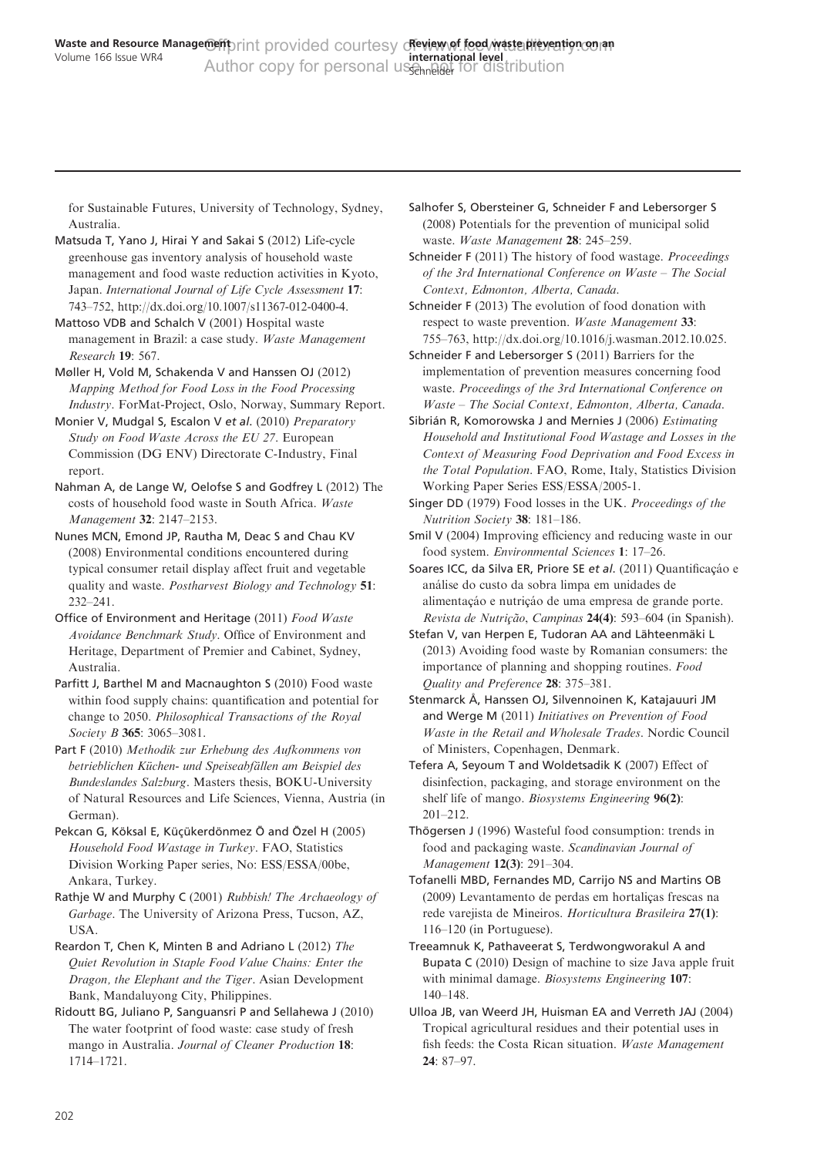<span id="page-15-0"></span>for Sustainable Futures, University of Technology, Sydney, Australia.

Matsuda T, Yano J, Hirai Y and Sakai S (2012) Life-cycle greenhouse gas inventory analysis of household waste management and food waste reduction activities in Kyoto, Japan. International Journal of Life Cycle Assessment 17: 743–752, [http://dx.doi.org/10.1007/s11367-012-0400-4.](http://dx.doi.org/10.1007/s11367-012-0400-4)

Mattoso VDB and Schalch V (2001) Hospital waste management in Brazil: a case study. Waste Management Research 19: 567.

Møller H, Vold M, Schakenda V and Hanssen OJ (2012) Mapping Method for Food Loss in the Food Processing Industry. ForMat-Project, Oslo, Norway, Summary Report.

Monier V, Mudgal S, Escalon V et al. (2010) Preparatory Study on Food Waste Across the EU 27. European Commission (DG ENV) Directorate C-Industry, Final report.

Nahman A, de Lange W, Oelofse S and Godfrey L (2012) The costs of household food waste in South Africa. Waste Management 32: 2147–2153.

Nunes MCN, Emond JP, Rautha M, Deac S and Chau KV (2008) Environmental conditions encountered during typical consumer retail display affect fruit and vegetable quality and waste. Postharvest Biology and Technology 51: 232–241.

Office of Environment and Heritage (2011) Food Waste Avoidance Benchmark Study. Office of Environment and Heritage, Department of Premier and Cabinet, Sydney, Australia.

Parfitt J, Barthel M and Macnaughton S (2010) Food waste within food supply chains: quantification and potential for change to 2050. Philosophical Transactions of the Royal Society **B** 365: 3065-3081.

Part F (2010) Methodik zur Erhebung des Aufkommens von betrieblichen Küchen- und Speiseabfällen am Beispiel des Bundeslandes Salzburg. Masters thesis, BOKU-University of Natural Resources and Life Sciences, Vienna, Austria (in German).

Pekcan G, Köksal E, Küçükerdönmez Ö and Özel H (2005) Household Food Wastage in Turkey. FAO, Statistics Division Working Paper series, No: ESS/ESSA/00be, Ankara, Turkey.

Rathje W and Murphy C (2001) Rubbish! The Archaeology of Garbage. The University of Arizona Press, Tucson, AZ, USA.

Reardon T, Chen K, Minten B and Adriano L (2012) The Quiet Revolution in Staple Food Value Chains: Enter the Dragon, the Elephant and the Tiger. Asian Development Bank, Mandaluyong City, Philippines.

Ridoutt BG, Juliano P, Sanguansri P and Sellahewa J (2010) The water footprint of food waste: case study of fresh mango in Australia. Journal of Cleaner Production 18: 1714–1721.

Salhofer S, Obersteiner G, Schneider F and Lebersorger S (2008) Potentials for the prevention of municipal solid waste. Waste Management 28: 245–259.

Schneider F (2011) The history of food wastage. Proceedings of the 3rd International Conference on Waste – The Social Context, Edmonton, Alberta, Canada.

Schneider F (2013) The evolution of food donation with respect to waste prevention. Waste Management 33: 755–763, [http://dx.doi.org/10.1016/j.wasman.2012.10.025.](http://dx.doi.org/10.1016/j.wasman.2012.10.025)

Schneider F and Lebersorger S (2011) Barriers for the implementation of prevention measures concerning food waste. Proceedings of the 3rd International Conference on Waste – The Social Context, Edmonton, Alberta, Canada.

Sibrián R, Komorowska J and Mernies J (2006) Estimating Household and Institutional Food Wastage and Losses in the Context of Measuring Food Deprivation and Food Excess in the Total Population. FAO, Rome, Italy, Statistics Division Working Paper Series ESS/ESSA/2005-1.

Singer DD (1979) Food losses in the UK. Proceedings of the Nutrition Society 38: 181–186.

Smil V (2004) Improving efficiency and reducing waste in our food system. Environmental Sciences 1: 17–26.

Soares ICC, da Silva ER, Priore SE et al. (2011) Quantificação e ana´lise do custo da sobra limpa em unidades de alimentação e nutrição de uma empresa de grande porte. Revista de Nutrição, Campinas 24(4): 593–604 (in Spanish).

Stefan V, van Herpen E, Tudoran AA and Lähteenmäki L (2013) Avoiding food waste by Romanian consumers: the importance of planning and shopping routines. Food Quality and Preference 28: 375–381.

Stenmarck Å, Hanssen OJ, Silvennoinen K, Katajauuri JM and Werge M (2011) Initiatives on Prevention of Food Waste in the Retail and Wholesale Trades. Nordic Council of Ministers, Copenhagen, Denmark.

Tefera A, Seyoum T and Woldetsadik K (2007) Effect of disinfection, packaging, and storage environment on the shelf life of mango. Biosystems Engineering 96(2): 201–212.

Thögersen J (1996) Wasteful food consumption: trends in food and packaging waste. Scandinavian Journal of Management 12(3): 291–304.

Tofanelli MBD, Fernandes MD, Carrijo NS and Martins OB (2009) Levantamento de perdas em hortaliças frescas na rede varejista de Mineiros. Horticultura Brasileira 27(1): 116–120 (in Portuguese).

Treeamnuk K, Pathaveerat S, Terdwongworakul A and Bupata C (2010) Design of machine to size Java apple fruit with minimal damage. Biosystems Engineering 107: 140–148.

Ulloa JB, van Weerd JH, Huisman EA and Verreth JAJ (2004) Tropical agricultural residues and their potential uses in fish feeds: the Costa Rican situation. Waste Management 24: 87–97.